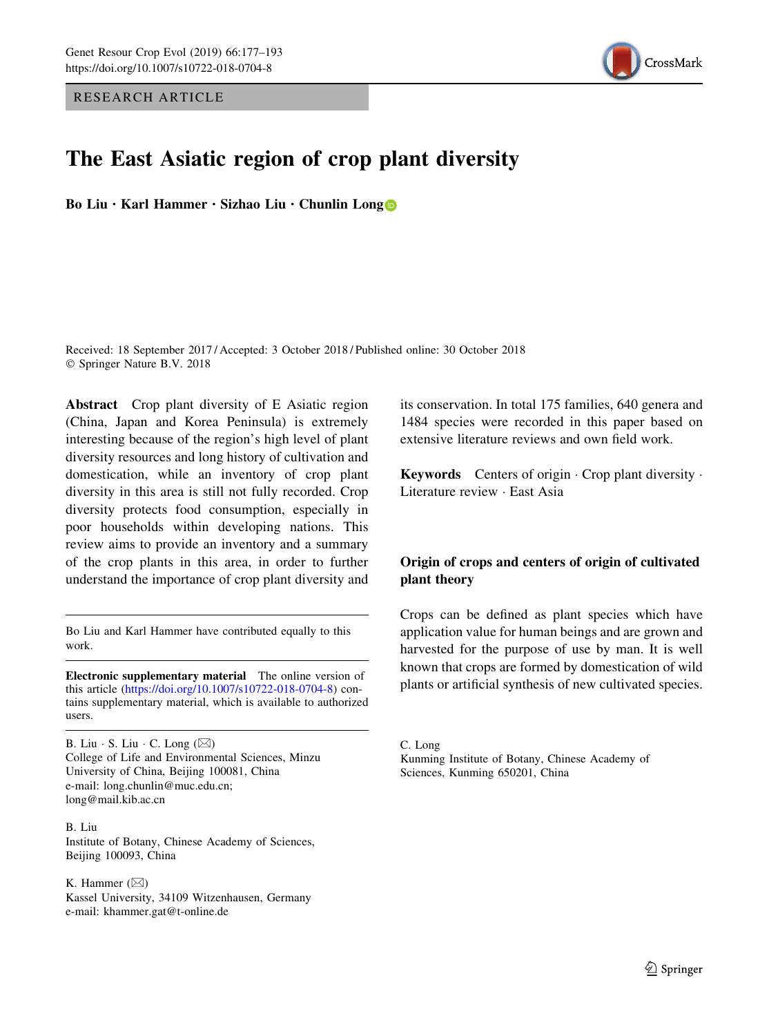RESEARCH ARTICLE



# The East Asiatic region of crop plant diversity

Bo Liu · Karl Hammer · Sizhao Liu · Chunlin Lon[g](http://orcid.org/0000-0002-6573-6049)

Received: 18 September 2017 / Accepted: 3 October 2018 / Published online: 30 October 2018 © Springer Nature B.V. 2018

Abstract Crop plant diversity of E Asiatic region (China, Japan and Korea Peninsula) is extremely interesting because of the region's high level of plant diversity resources and long history of cultivation and domestication, while an inventory of crop plant diversity in this area is still not fully recorded. Crop diversity protects food consumption, especially in poor households within developing nations. This review aims to provide an inventory and a summary of the crop plants in this area, in order to further understand the importance of crop plant diversity and

Bo Liu and Karl Hammer have contributed equally to this work.

Electronic supplementary material The online version of this article [\(https://doi.org/10.1007/s10722-018-0704-8](https://doi.org/10.1007/s10722-018-0704-8)) contains supplementary material, which is available to authorized users.

B. Liu  $\cdot$  S. Liu  $\cdot$  C. Long ( $\boxtimes$ ) College of Life and Environmental Sciences, Minzu University of China, Beijing 100081, China e-mail: long.chunlin@muc.edu.cn; long@mail.kib.ac.cn

B. Liu Institute of Botany, Chinese Academy of Sciences, Beijing 100093, China

K. Hammer  $(\boxtimes)$ Kassel University, 34109 Witzenhausen, Germany e-mail: khammer.gat@t-online.de

its conservation. In total 175 families, 640 genera and 1484 species were recorded in this paper based on extensive literature reviews and own field work.

Keywords Centers of origin · Crop plant diversity · Literature review - East Asia

# Origin of crops and centers of origin of cultivated plant theory

Crops can be defined as plant species which have application value for human beings and are grown and harvested for the purpose of use by man. It is well known that crops are formed by domestication of wild plants or artificial synthesis of new cultivated species.

C. Long

Kunming Institute of Botany, Chinese Academy of Sciences, Kunming 650201, China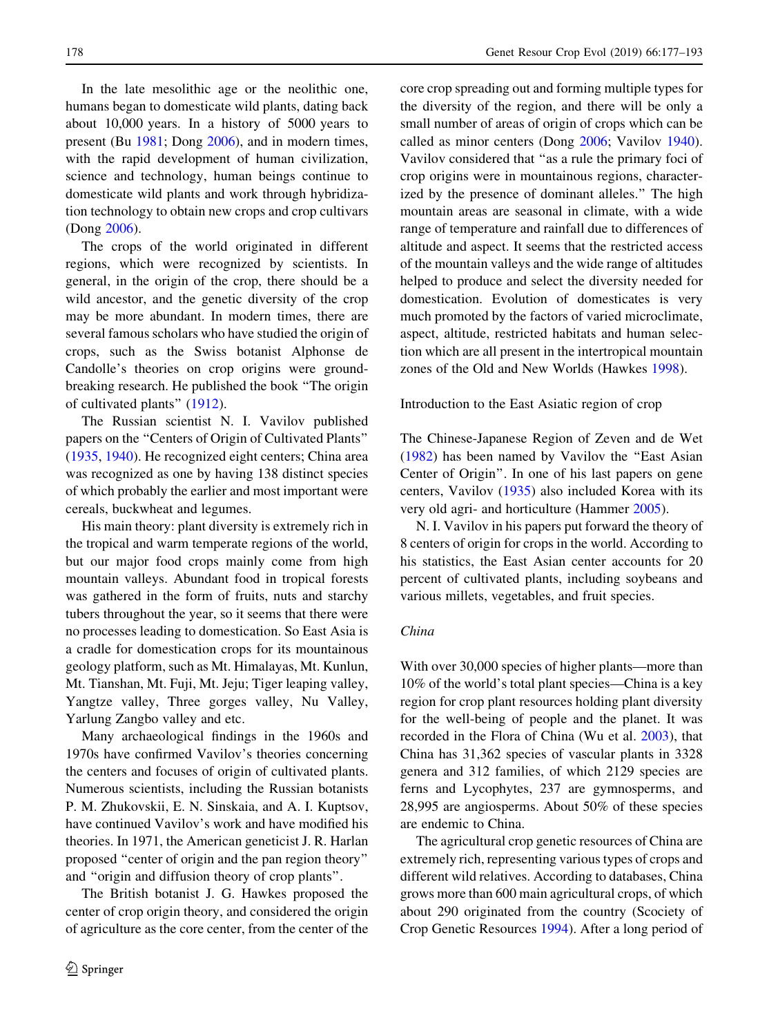In the late mesolithic age or the neolithic one, humans began to domesticate wild plants, dating back about 10,000 years. In a history of 5000 years to present (Bu [1981;](#page-15-0) Dong [2006](#page-16-0)), and in modern times, with the rapid development of human civilization, science and technology, human beings continue to domesticate wild plants and work through hybridization technology to obtain new crops and crop cultivars (Dong [2006](#page-16-0)).

The crops of the world originated in different regions, which were recognized by scientists. In general, in the origin of the crop, there should be a wild ancestor, and the genetic diversity of the crop may be more abundant. In modern times, there are several famous scholars who have studied the origin of crops, such as the Swiss botanist Alphonse de Candolle's theories on crop origins were groundbreaking research. He published the book ''The origin of cultivated plants'' ([1912\)](#page-15-0).

The Russian scientist N. I. Vavilov published papers on the ''Centers of Origin of Cultivated Plants'' [\(1935](#page-16-0), [1940\)](#page-16-0). He recognized eight centers; China area was recognized as one by having 138 distinct species of which probably the earlier and most important were cereals, buckwheat and legumes.

His main theory: plant diversity is extremely rich in the tropical and warm temperate regions of the world, but our major food crops mainly come from high mountain valleys. Abundant food in tropical forests was gathered in the form of fruits, nuts and starchy tubers throughout the year, so it seems that there were no processes leading to domestication. So East Asia is a cradle for domestication crops for its mountainous geology platform, such as Mt. Himalayas, Mt. Kunlun, Mt. Tianshan, Mt. Fuji, Mt. Jeju; Tiger leaping valley, Yangtze valley, Three gorges valley, Nu Valley, Yarlung Zangbo valley and etc.

Many archaeological findings in the 1960s and 1970s have confirmed Vavilov's theories concerning the centers and focuses of origin of cultivated plants. Numerous scientists, including the Russian botanists P. M. Zhukovskii, E. N. Sinskaia, and A. I. Kuptsov, have continued Vavilov's work and have modified his theories. In 1971, the American geneticist J. R. Harlan proposed ''center of origin and the pan region theory'' and ''origin and diffusion theory of crop plants''.

The British botanist J. G. Hawkes proposed the center of crop origin theory, and considered the origin of agriculture as the core center, from the center of the core crop spreading out and forming multiple types for the diversity of the region, and there will be only a small number of areas of origin of crops which can be called as minor centers (Dong [2006](#page-16-0); Vavilov [1940](#page-16-0)). Vavilov considered that ''as a rule the primary foci of crop origins were in mountainous regions, characterized by the presence of dominant alleles.'' The high mountain areas are seasonal in climate, with a wide range of temperature and rainfall due to differences of altitude and aspect. It seems that the restricted access of the mountain valleys and the wide range of altitudes helped to produce and select the diversity needed for domestication. Evolution of domesticates is very much promoted by the factors of varied microclimate, aspect, altitude, restricted habitats and human selection which are all present in the intertropical mountain zones of the Old and New Worlds (Hawkes [1998\)](#page-16-0).

#### Introduction to the East Asiatic region of crop

The Chinese-Japanese Region of Zeven and de Wet [\(1982](#page-16-0)) has been named by Vavilov the ''East Asian Center of Origin''. In one of his last papers on gene centers, Vavilov ([1935\)](#page-16-0) also included Korea with its very old agri- and horticulture (Hammer [2005\)](#page-16-0).

N. I. Vavilov in his papers put forward the theory of 8 centers of origin for crops in the world. According to his statistics, the East Asian center accounts for 20 percent of cultivated plants, including soybeans and various millets, vegetables, and fruit species.

#### China

With over 30,000 species of higher plants—more than 10% of the world's total plant species—China is a key region for crop plant resources holding plant diversity for the well-being of people and the planet. It was recorded in the Flora of China (Wu et al. [2003](#page-16-0)), that China has 31,362 species of vascular plants in 3328 genera and 312 families, of which 2129 species are ferns and Lycophytes, 237 are gymnosperms, and 28,995 are angiosperms. About 50% of these species are endemic to China.

The agricultural crop genetic resources of China are extremely rich, representing various types of crops and different wild relatives. According to databases, China grows more than 600 main agricultural crops, of which about 290 originated from the country (Scociety of Crop Genetic Resources [1994\)](#page-16-0). After a long period of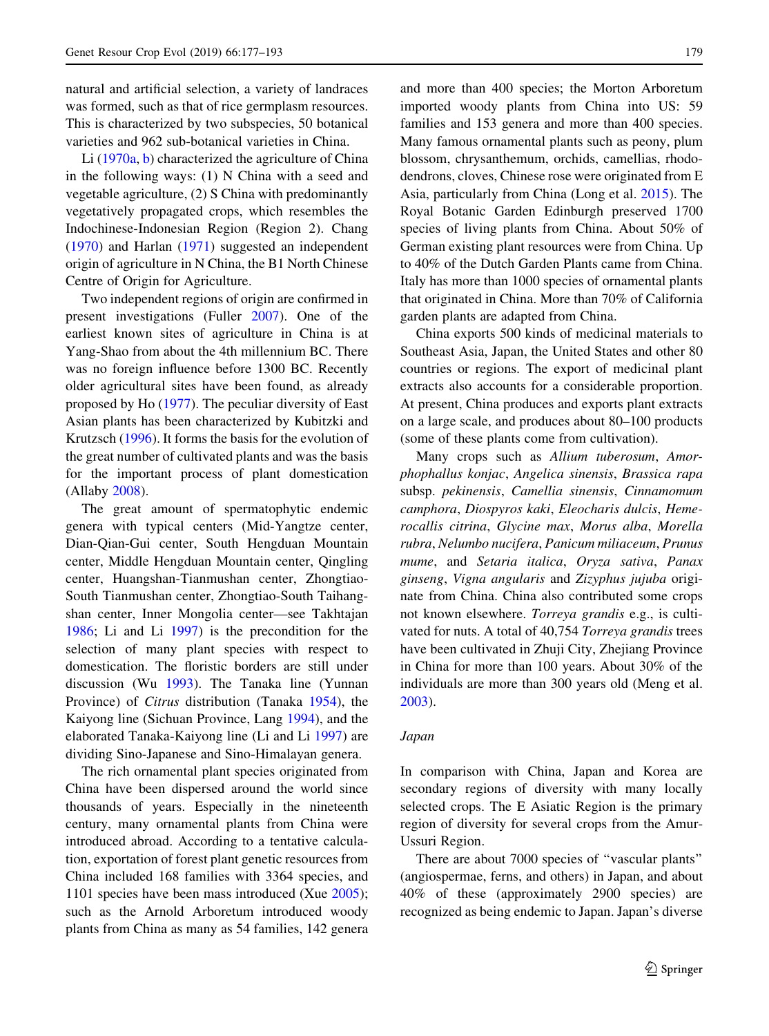natural and artificial selection, a variety of landraces was formed, such as that of rice germplasm resources. This is characterized by two subspecies, 50 botanical varieties and 962 sub-botanical varieties in China.

Li ([1970a,](#page-16-0) [b\)](#page-16-0) characterized the agriculture of China in the following ways: (1) N China with a seed and vegetable agriculture, (2) S China with predominantly vegetatively propagated crops, which resembles the Indochinese-Indonesian Region (Region 2). Chang [\(1970](#page-15-0)) and Harlan ([1971\)](#page-16-0) suggested an independent origin of agriculture in N China, the B1 North Chinese Centre of Origin for Agriculture.

Two independent regions of origin are confirmed in present investigations (Fuller [2007\)](#page-16-0). One of the earliest known sites of agriculture in China is at Yang-Shao from about the 4th millennium BC. There was no foreign influence before 1300 BC. Recently older agricultural sites have been found, as already proposed by Ho ([1977\)](#page-16-0). The peculiar diversity of East Asian plants has been characterized by Kubitzki and Krutzsch [\(1996](#page-16-0)). It forms the basis for the evolution of the great number of cultivated plants and was the basis for the important process of plant domestication (Allaby [2008](#page-15-0)).

The great amount of spermatophytic endemic genera with typical centers (Mid-Yangtze center, Dian-Qian-Gui center, South Hengduan Mountain center, Middle Hengduan Mountain center, Qingling center, Huangshan-Tianmushan center, Zhongtiao-South Tianmushan center, Zhongtiao-South Taihangshan center, Inner Mongolia center—see Takhtajan [1986;](#page-16-0) Li and Li [1997](#page-16-0)) is the precondition for the selection of many plant species with respect to domestication. The floristic borders are still under discussion (Wu [1993\)](#page-16-0). The Tanaka line (Yunnan Province) of Citrus distribution (Tanaka [1954\)](#page-16-0), the Kaiyong line (Sichuan Province, Lang [1994](#page-16-0)), and the elaborated Tanaka-Kaiyong line (Li and Li [1997\)](#page-16-0) are dividing Sino-Japanese and Sino-Himalayan genera.

The rich ornamental plant species originated from China have been dispersed around the world since thousands of years. Especially in the nineteenth century, many ornamental plants from China were introduced abroad. According to a tentative calculation, exportation of forest plant genetic resources from China included 168 families with 3364 species, and 1101 species have been mass introduced (Xue [2005](#page-16-0)); such as the Arnold Arboretum introduced woody plants from China as many as 54 families, 142 genera and more than 400 species; the Morton Arboretum imported woody plants from China into US: 59 families and 153 genera and more than 400 species. Many famous ornamental plants such as peony, plum blossom, chrysanthemum, orchids, camellias, rhododendrons, cloves, Chinese rose were originated from E Asia, particularly from China (Long et al. [2015](#page-16-0)). The Royal Botanic Garden Edinburgh preserved 1700 species of living plants from China. About 50% of German existing plant resources were from China. Up to 40% of the Dutch Garden Plants came from China. Italy has more than 1000 species of ornamental plants that originated in China. More than 70% of California garden plants are adapted from China.

China exports 500 kinds of medicinal materials to Southeast Asia, Japan, the United States and other 80 countries or regions. The export of medicinal plant extracts also accounts for a considerable proportion. At present, China produces and exports plant extracts on a large scale, and produces about 80–100 products (some of these plants come from cultivation).

Many crops such as Allium tuberosum, Amorphophallus konjac, Angelica sinensis, Brassica rapa subsp. pekinensis, Camellia sinensis, Cinnamomum camphora, Diospyros kaki, Eleocharis dulcis, Hemerocallis citrina, Glycine max, Morus alba, Morella rubra, Nelumbo nucifera, Panicum miliaceum, Prunus mume, and Setaria italica, Oryza sativa, Panax ginseng, Vigna angularis and Zizyphus jujuba originate from China. China also contributed some crops not known elsewhere. Torreya grandis e.g., is cultivated for nuts. A total of 40,754 Torreya grandis trees have been cultivated in Zhuji City, Zhejiang Province in China for more than 100 years. About 30% of the individuals are more than 300 years old (Meng et al. [2003\)](#page-16-0).

#### Japan

In comparison with China, Japan and Korea are secondary regions of diversity with many locally selected crops. The E Asiatic Region is the primary region of diversity for several crops from the Amur-Ussuri Region.

There are about 7000 species of "vascular plants" (angiospermae, ferns, and others) in Japan, and about 40% of these (approximately 2900 species) are recognized as being endemic to Japan. Japan's diverse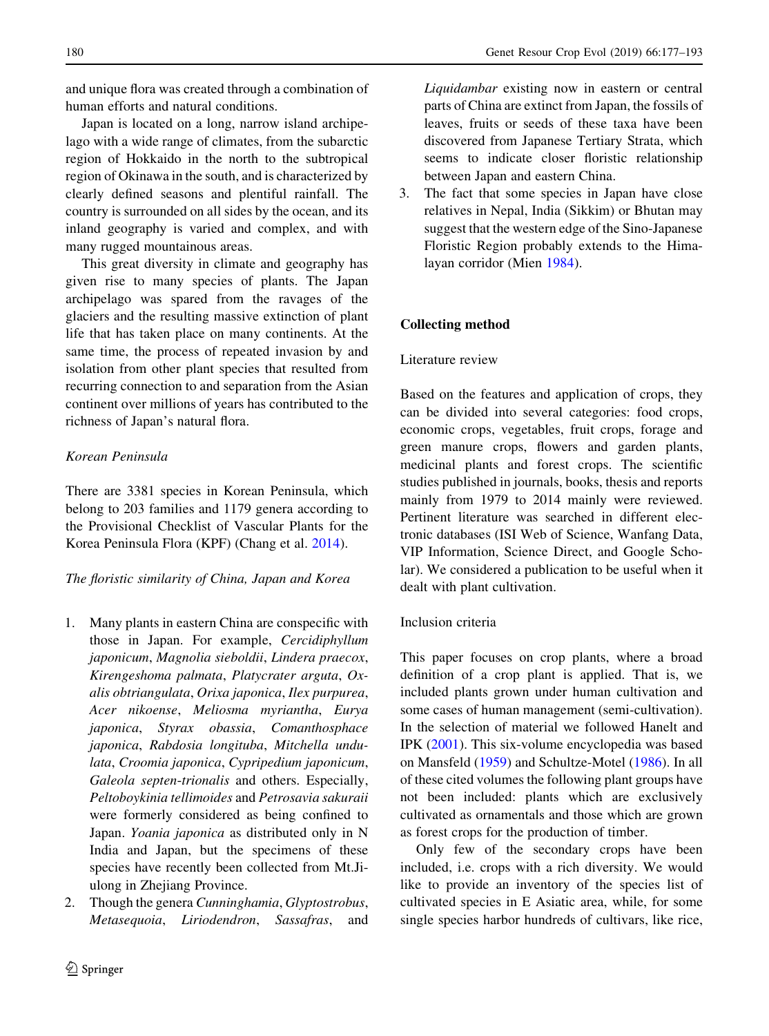and unique flora was created through a combination of human efforts and natural conditions.

Japan is located on a long, narrow island archipelago with a wide range of climates, from the subarctic region of Hokkaido in the north to the subtropical region of Okinawa in the south, and is characterized by clearly defined seasons and plentiful rainfall. The country is surrounded on all sides by the ocean, and its inland geography is varied and complex, and with many rugged mountainous areas.

This great diversity in climate and geography has given rise to many species of plants. The Japan archipelago was spared from the ravages of the glaciers and the resulting massive extinction of plant life that has taken place on many continents. At the same time, the process of repeated invasion by and isolation from other plant species that resulted from recurring connection to and separation from the Asian continent over millions of years has contributed to the richness of Japan's natural flora.

# Korean Peninsula

There are 3381 species in Korean Peninsula, which belong to 203 families and 1179 genera according to the Provisional Checklist of Vascular Plants for the Korea Peninsula Flora (KPF) (Chang et al. [2014](#page-15-0)).

# The floristic similarity of China, Japan and Korea

- 1. Many plants in eastern China are conspecific with those in Japan. For example, Cercidiphyllum japonicum, Magnolia sieboldii, Lindera praecox, Kirengeshoma palmata, Platycrater arguta, Oxalis obtriangulata, Orixa japonica, Ilex purpurea, Acer nikoense, Meliosma myriantha, Eurya japonica, Styrax obassia, Comanthosphace japonica, Rabdosia longituba, Mitchella undulata, Croomia japonica, Cypripedium japonicum, Galeola septen-trionalis and others. Especially, Peltoboykinia tellimoides and Petrosavia sakuraii were formerly considered as being confined to Japan. Yoania japonica as distributed only in N India and Japan, but the specimens of these species have recently been collected from Mt.Jiulong in Zhejiang Province.
- 2. Though the genera Cunninghamia, Glyptostrobus, Metasequoia, Liriodendron, Sassafras, and

Liquidambar existing now in eastern or central parts of China are extinct from Japan, the fossils of leaves, fruits or seeds of these taxa have been discovered from Japanese Tertiary Strata, which seems to indicate closer floristic relationship between Japan and eastern China.

3. The fact that some species in Japan have close relatives in Nepal, India (Sikkim) or Bhutan may suggest that the western edge of the Sino-Japanese Floristic Region probably extends to the Himalayan corridor (Mien [1984\)](#page-16-0).

# Collecting method

# Literature review

Based on the features and application of crops, they can be divided into several categories: food crops, economic crops, vegetables, fruit crops, forage and green manure crops, flowers and garden plants, medicinal plants and forest crops. The scientific studies published in journals, books, thesis and reports mainly from 1979 to 2014 mainly were reviewed. Pertinent literature was searched in different electronic databases (ISI Web of Science, Wanfang Data, VIP Information, Science Direct, and Google Scholar). We considered a publication to be useful when it dealt with plant cultivation.

# Inclusion criteria

This paper focuses on crop plants, where a broad definition of a crop plant is applied. That is, we included plants grown under human cultivation and some cases of human management (semi-cultivation). In the selection of material we followed Hanelt and IPK ([2001\)](#page-16-0). This six-volume encyclopedia was based on Mansfeld ([1959\)](#page-16-0) and Schultze-Motel [\(1986](#page-16-0)). In all of these cited volumes the following plant groups have not been included: plants which are exclusively cultivated as ornamentals and those which are grown as forest crops for the production of timber.

Only few of the secondary crops have been included, i.e. crops with a rich diversity. We would like to provide an inventory of the species list of cultivated species in E Asiatic area, while, for some single species harbor hundreds of cultivars, like rice,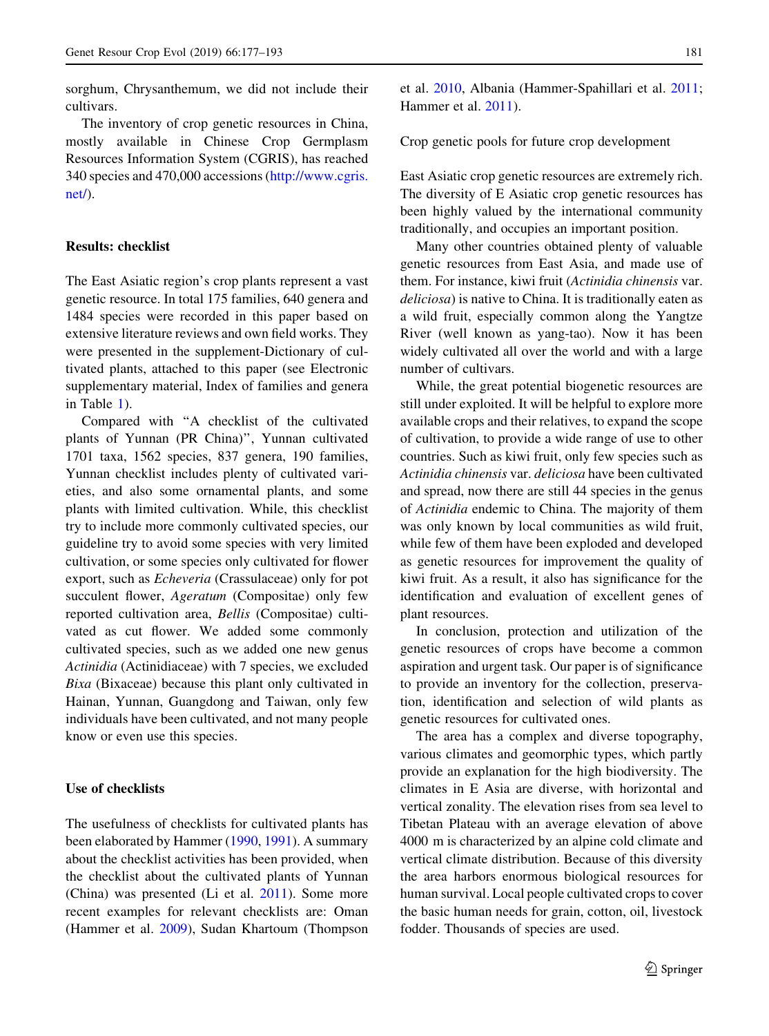<span id="page-4-0"></span>sorghum, Chrysanthemum, we did not include their cultivars.

The inventory of crop genetic resources in China, mostly available in Chinese Crop Germplasm Resources Information System (CGRIS), has reached 340 species and 470,000 accessions [\(http://www.cgris.](http://www.cgris.net/) [net/\)](http://www.cgris.net/).

### Results: checklist

The East Asiatic region's crop plants represent a vast genetic resource. In total 175 families, 640 genera and 1484 species were recorded in this paper based on extensive literature reviews and own field works. They were presented in the supplement-Dictionary of cultivated plants, attached to this paper (see Electronic supplementary material, Index of families and genera in Table [1](#page-5-0)).

Compared with ''A checklist of the cultivated plants of Yunnan (PR China)'', Yunnan cultivated 1701 taxa, 1562 species, 837 genera, 190 families, Yunnan checklist includes plenty of cultivated varieties, and also some ornamental plants, and some plants with limited cultivation. While, this checklist try to include more commonly cultivated species, our guideline try to avoid some species with very limited cultivation, or some species only cultivated for flower export, such as Echeveria (Crassulaceae) only for pot succulent flower, Ageratum (Compositae) only few reported cultivation area, Bellis (Compositae) cultivated as cut flower. We added some commonly cultivated species, such as we added one new genus Actinidia (Actinidiaceae) with 7 species, we excluded Bixa (Bixaceae) because this plant only cultivated in Hainan, Yunnan, Guangdong and Taiwan, only few individuals have been cultivated, and not many people know or even use this species.

## Use of checklists

The usefulness of checklists for cultivated plants has been elaborated by Hammer ([1990,](#page-16-0) [1991](#page-16-0)). A summary about the checklist activities has been provided, when the checklist about the cultivated plants of Yunnan (China) was presented (Li et al. [2011\)](#page-16-0). Some more recent examples for relevant checklists are: Oman (Hammer et al. [2009\)](#page-16-0), Sudan Khartoum (Thompson et al. [2010,](#page-16-0) Albania (Hammer-Spahillari et al. [2011](#page-16-0); Hammer et al. [2011](#page-16-0)).

Crop genetic pools for future crop development

East Asiatic crop genetic resources are extremely rich. The diversity of E Asiatic crop genetic resources has been highly valued by the international community traditionally, and occupies an important position.

Many other countries obtained plenty of valuable genetic resources from East Asia, and made use of them. For instance, kiwi fruit (Actinidia chinensis var. deliciosa) is native to China. It is traditionally eaten as a wild fruit, especially common along the Yangtze River (well known as yang-tao). Now it has been widely cultivated all over the world and with a large number of cultivars.

While, the great potential biogenetic resources are still under exploited. It will be helpful to explore more available crops and their relatives, to expand the scope of cultivation, to provide a wide range of use to other countries. Such as kiwi fruit, only few species such as Actinidia chinensis var. deliciosa have been cultivated and spread, now there are still 44 species in the genus of Actinidia endemic to China. The majority of them was only known by local communities as wild fruit, while few of them have been exploded and developed as genetic resources for improvement the quality of kiwi fruit. As a result, it also has significance for the identification and evaluation of excellent genes of plant resources.

In conclusion, protection and utilization of the genetic resources of crops have become a common aspiration and urgent task. Our paper is of significance to provide an inventory for the collection, preservation, identification and selection of wild plants as genetic resources for cultivated ones.

The area has a complex and diverse topography, various climates and geomorphic types, which partly provide an explanation for the high biodiversity. The climates in E Asia are diverse, with horizontal and vertical zonality. The elevation rises from sea level to Tibetan Plateau with an average elevation of above 4000 m is characterized by an alpine cold climate and vertical climate distribution. Because of this diversity the area harbors enormous biological resources for human survival. Local people cultivated crops to cover the basic human needs for grain, cotton, oil, livestock fodder. Thousands of species are used.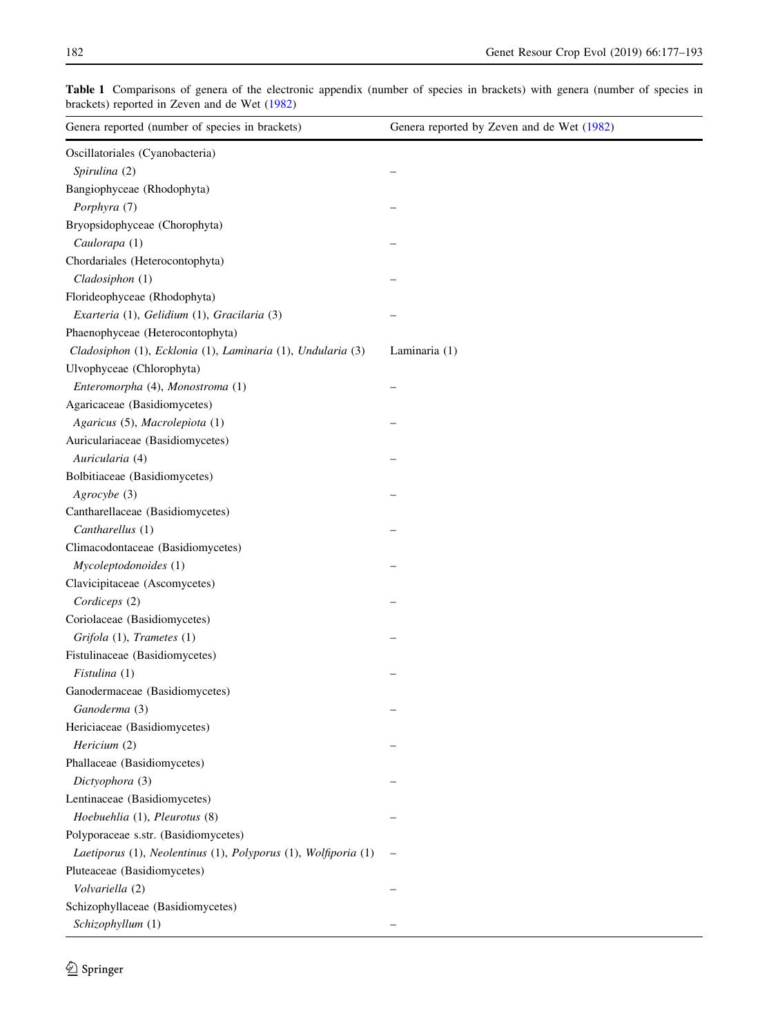| Genera reported (number of species in brackets)                | Genera reported by Zeven and de Wet (1982) |
|----------------------------------------------------------------|--------------------------------------------|
| Oscillatoriales (Cyanobacteria)                                |                                            |
| Spirulina (2)                                                  |                                            |
| Bangiophyceae (Rhodophyta)                                     |                                            |
| Porphyra (7)                                                   |                                            |
| Bryopsidophyceae (Chorophyta)                                  |                                            |
| Caulorapa (1)                                                  |                                            |
| Chordariales (Heterocontophyta)                                |                                            |
| Cladosiphon (1)                                                |                                            |
| Florideophyceae (Rhodophyta)                                   |                                            |
| Exarteria (1), Gelidium (1), Gracilaria (3)                    |                                            |
| Phaenophyceae (Heterocontophyta)                               |                                            |
| Cladosiphon (1), Ecklonia (1), Laminaria (1), Undularia (3)    | Laminaria (1)                              |
| Ulvophyceae (Chlorophyta)                                      |                                            |
| Enteromorpha (4), Monostroma (1)                               |                                            |
| Agaricaceae (Basidiomycetes)                                   |                                            |
| Agaricus (5), Macrolepiota (1)                                 |                                            |
| Auriculariaceae (Basidiomycetes)                               |                                            |
| Auricularia (4)                                                |                                            |
| Bolbitiaceae (Basidiomycetes)                                  |                                            |
| Agrocybe (3)                                                   |                                            |
| Cantharellaceae (Basidiomycetes)                               |                                            |
| Cantharellus (1)                                               |                                            |
| Climacodontaceae (Basidiomycetes)                              |                                            |
| Mycoleptodonoides (1)                                          |                                            |
| Clavicipitaceae (Ascomycetes)                                  |                                            |
| Cordiceps (2)                                                  |                                            |
| Coriolaceae (Basidiomycetes)                                   |                                            |
| Grifola (1), Trametes (1)                                      |                                            |
| Fistulinaceae (Basidiomycetes)                                 |                                            |
| Fistulina (1)                                                  |                                            |
| Ganodermaceae (Basidiomycetes)                                 |                                            |
| Ganoderma (3)                                                  |                                            |
| Hericiaceae (Basidiomycetes)                                   |                                            |
| Hericium (2)                                                   |                                            |
| Phallaceae (Basidiomycetes)                                    |                                            |
| Dictyophora (3)                                                |                                            |
| Lentinaceae (Basidiomycetes)                                   |                                            |
| Hoebuehlia (1), Pleurotus (8)                                  |                                            |
| Polyporaceae s.str. (Basidiomycetes)                           |                                            |
| Laetiporus (1), Neolentinus (1), Polyporus (1), Wolfiporia (1) | $\qquad \qquad -$                          |
| Pluteaceae (Basidiomycetes)                                    |                                            |
| Volvariella (2)                                                |                                            |
| Schizophyllaceae (Basidiomycetes)                              |                                            |
| Schizophyllum (1)                                              |                                            |

<span id="page-5-0"></span>Table 1 Comparisons of genera of the electronic appendix (number of species in brackets) with genera (number of species in brackets) reported in Zeven and de Wet [\(1982](#page-16-0))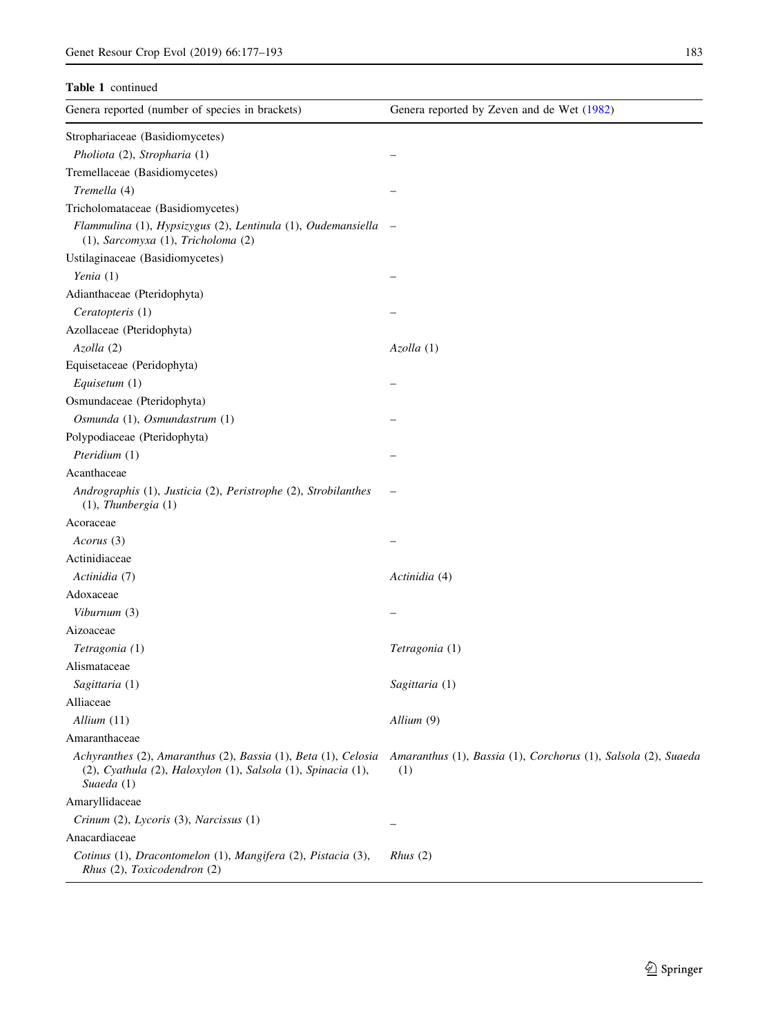## Table 1 continued

| Genera reported (number of species in brackets)                                                                                                | Genera reported by Zeven and de Wet (1982)                            |
|------------------------------------------------------------------------------------------------------------------------------------------------|-----------------------------------------------------------------------|
| Strophariaceae (Basidiomycetes)                                                                                                                |                                                                       |
| Pholiota (2), Stropharia (1)                                                                                                                   |                                                                       |
| Tremellaceae (Basidiomycetes)                                                                                                                  |                                                                       |
| Tremella (4)                                                                                                                                   |                                                                       |
| Tricholomataceae (Basidiomycetes)                                                                                                              |                                                                       |
| Flammulina (1), Hypsizygus (2), Lentinula (1), Oudemansiella -<br>(1), Sarcomyxa (1), Tricholoma (2)                                           |                                                                       |
| Ustilaginaceae (Basidiomycetes)                                                                                                                |                                                                       |
| Yenia $(1)$                                                                                                                                    |                                                                       |
| Adianthaceae (Pteridophyta)                                                                                                                    |                                                                       |
| Ceratopteris (1)                                                                                                                               |                                                                       |
| Azollaceae (Pteridophyta)                                                                                                                      |                                                                       |
| Azolla (2)                                                                                                                                     | Azolla(1)                                                             |
| Equisetaceae (Peridophyta)                                                                                                                     |                                                                       |
| Equisetum $(1)$                                                                                                                                |                                                                       |
| Osmundaceae (Pteridophyta)                                                                                                                     |                                                                       |
| Osmunda (1), Osmundastrum (1)                                                                                                                  |                                                                       |
| Polypodiaceae (Pteridophyta)                                                                                                                   |                                                                       |
| Pteridium (1)                                                                                                                                  |                                                                       |
| Acanthaceae                                                                                                                                    |                                                                       |
| Andrographis (1), Justicia (2), Peristrophe (2), Strobilanthes<br>$(1)$ , Thunbergia $(1)$                                                     |                                                                       |
| Acoraceae                                                                                                                                      |                                                                       |
| Acorus (3)                                                                                                                                     |                                                                       |
| Actinidiaceae                                                                                                                                  |                                                                       |
| Actinidia (7)                                                                                                                                  | Actinidia (4)                                                         |
| Adoxaceae                                                                                                                                      |                                                                       |
| Viburnum (3)                                                                                                                                   |                                                                       |
| Aizoaceae                                                                                                                                      |                                                                       |
| Tetragonia (1)                                                                                                                                 | Tetragonia (1)                                                        |
| Alismataceae                                                                                                                                   |                                                                       |
| Sagittaria (1)                                                                                                                                 | Sagittaria (1)                                                        |
| Alliaceae                                                                                                                                      |                                                                       |
| Allium (11)                                                                                                                                    | Allium (9)                                                            |
| Amaranthaceae                                                                                                                                  |                                                                       |
| Achyranthes (2), Amaranthus (2), Bassia (1), Beta (1), Celosia<br>(2), Cyathula (2), Haloxylon (1), Salsola (1), Spinacia (1),<br>Suaeda $(1)$ | Amaranthus (1), Bassia (1), Corchorus (1), Salsola (2), Suaeda<br>(1) |
| Amaryllidaceae                                                                                                                                 |                                                                       |
| Crinum (2), Lycoris (3), Narcissus (1)                                                                                                         |                                                                       |
| Anacardiaceae                                                                                                                                  |                                                                       |
| Cotinus (1), Dracontomelon (1), Mangifera (2), Pistacia (3),<br>Rhus (2), Toxicodendron (2)                                                    | Rhus(2)                                                               |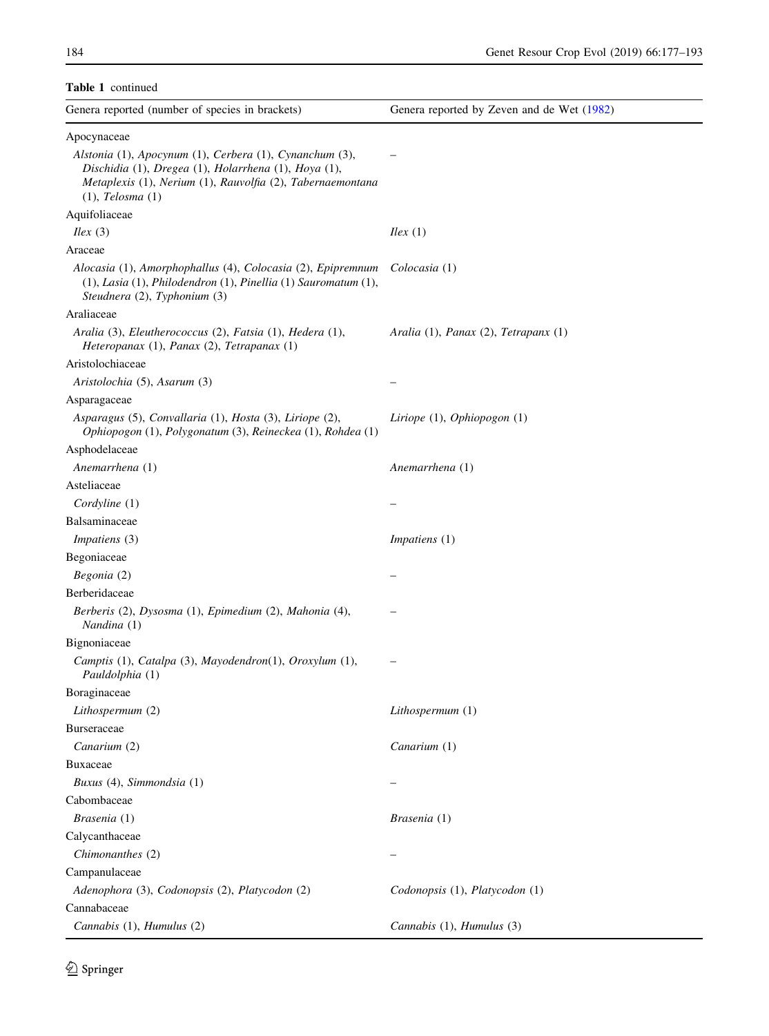| Genera reported (number of species in brackets)                                                                                                                                                        | Genera reported by Zeven and de Wet (1982) |
|--------------------------------------------------------------------------------------------------------------------------------------------------------------------------------------------------------|--------------------------------------------|
| Apocynaceae                                                                                                                                                                                            |                                            |
| Alstonia (1), Apocynum (1), Cerbera (1), Cynanchum (3),<br>Dischidia (1), Dregea (1), Holarrhena (1), Hoya (1),<br>Metaplexis (1), Nerium (1), Rauvolfia (2), Tabernaemontana<br>$(1)$ , Telosma $(1)$ |                                            |
| Aquifoliaceae                                                                                                                                                                                          |                                            |
| Hex(3)                                                                                                                                                                                                 | Hex(1)                                     |
| Araceae                                                                                                                                                                                                |                                            |
| Alocasia (1), Amorphophallus (4), Colocasia (2), Epipremnum<br>(1), Lasia (1), Philodendron (1), Pinellia (1) Sauromatum (1),<br>Steudnera (2), Typhonium (3)                                          | Colocasia (1)                              |
| Araliaceae                                                                                                                                                                                             |                                            |
| Aralia (3), Eleutherococcus (2), Fatsia (1), Hedera (1),<br>Heteropanax (1), Panax (2), Tetrapanax (1)                                                                                                 | Aralia (1), Panax (2), Tetrapanx (1)       |
| Aristolochiaceae                                                                                                                                                                                       |                                            |
| Aristolochia (5), Asarum (3)                                                                                                                                                                           |                                            |
| Asparagaceae                                                                                                                                                                                           |                                            |
| Asparagus (5), Convallaria (1), Hosta (3), Liriope (2),<br>Ophiopogon (1), Polygonatum (3), Reineckea (1), Rohdea (1)                                                                                  | Liriope $(1)$ , Ophiopogon $(1)$           |
| Asphodelaceae                                                                                                                                                                                          |                                            |
| Anemarrhena (1)                                                                                                                                                                                        | Anemarrhena (1)                            |
| Asteliaceae                                                                                                                                                                                            |                                            |
| Cordyline (1)                                                                                                                                                                                          |                                            |
| Balsaminaceae                                                                                                                                                                                          |                                            |
| <i>Impatiens</i> (3)                                                                                                                                                                                   | <i>Impatiens</i> (1)                       |
| Begoniaceae                                                                                                                                                                                            |                                            |
| Begonia (2)                                                                                                                                                                                            |                                            |
| Berberidaceae                                                                                                                                                                                          |                                            |
| Berberis (2), Dysosma (1), Epimedium (2), Mahonia (4),<br>Nandina (1)                                                                                                                                  |                                            |
| Bignoniaceae                                                                                                                                                                                           |                                            |
| Camptis (1), Catalpa (3), Mayodendron(1), Oroxylum (1),<br>Pauldolphia (1)                                                                                                                             |                                            |
| Boraginaceae                                                                                                                                                                                           |                                            |
| Lithospermum (2)                                                                                                                                                                                       | Lithospermum $(1)$                         |
| Burseraceae                                                                                                                                                                                            |                                            |
| Canarium (2)                                                                                                                                                                                           | Canarium (1)                               |
| Buxaceae                                                                                                                                                                                               |                                            |
| Buxus (4), Simmondsia (1)                                                                                                                                                                              |                                            |
| Cabombaceae                                                                                                                                                                                            |                                            |
| Brasenia (1)                                                                                                                                                                                           | Brasenia (1)                               |
| Calycanthaceae                                                                                                                                                                                         |                                            |
| Chimonanthes (2)                                                                                                                                                                                       | -                                          |
| Campanulaceae                                                                                                                                                                                          |                                            |
| Adenophora (3), Codonopsis (2), Platycodon (2)                                                                                                                                                         | Codonopsis (1), Platycodon (1)             |
| Cannabaceae                                                                                                                                                                                            |                                            |
| Cannabis (1), Humulus (2)                                                                                                                                                                              | Cannabis (1), Humulus (3)                  |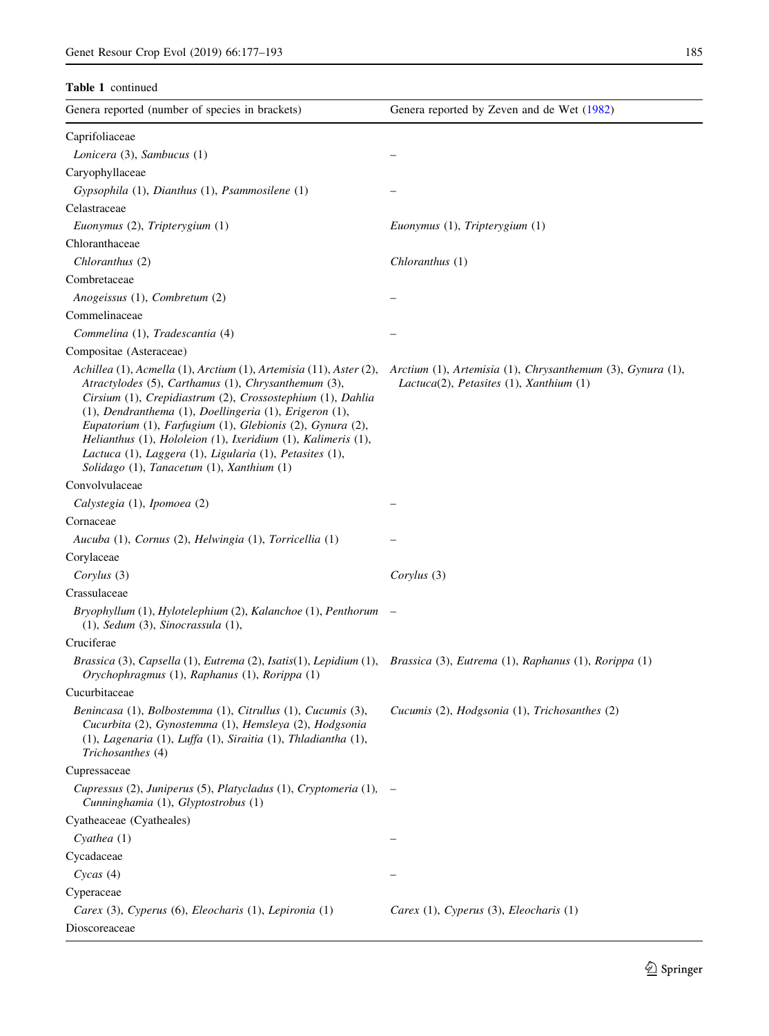## Table 1 continued

| Genera reported (number of species in brackets)                                                                                                                                                                                                                                                                                                                                                                                                                                        | Genera reported by Zeven and de Wet (1982)                                                            |
|----------------------------------------------------------------------------------------------------------------------------------------------------------------------------------------------------------------------------------------------------------------------------------------------------------------------------------------------------------------------------------------------------------------------------------------------------------------------------------------|-------------------------------------------------------------------------------------------------------|
| Caprifoliaceae                                                                                                                                                                                                                                                                                                                                                                                                                                                                         |                                                                                                       |
| Lonicera (3), Sambucus (1)                                                                                                                                                                                                                                                                                                                                                                                                                                                             |                                                                                                       |
| Caryophyllaceae                                                                                                                                                                                                                                                                                                                                                                                                                                                                        |                                                                                                       |
| Gypsophila (1), Dianthus (1), Psammosilene (1)                                                                                                                                                                                                                                                                                                                                                                                                                                         |                                                                                                       |
| Celastraceae                                                                                                                                                                                                                                                                                                                                                                                                                                                                           |                                                                                                       |
| Euonymus (2), Tripterygium (1)                                                                                                                                                                                                                                                                                                                                                                                                                                                         | Euonymus (1), Tripterygium (1)                                                                        |
| Chloranthaceae                                                                                                                                                                                                                                                                                                                                                                                                                                                                         |                                                                                                       |
| Chloranthus (2)                                                                                                                                                                                                                                                                                                                                                                                                                                                                        | Chloranthus (1)                                                                                       |
| Combretaceae                                                                                                                                                                                                                                                                                                                                                                                                                                                                           |                                                                                                       |
| Anogeissus (1), Combretum (2)                                                                                                                                                                                                                                                                                                                                                                                                                                                          |                                                                                                       |
| Commelinaceae                                                                                                                                                                                                                                                                                                                                                                                                                                                                          |                                                                                                       |
| Commelina (1), Tradescantia (4)                                                                                                                                                                                                                                                                                                                                                                                                                                                        |                                                                                                       |
| Compositae (Asteraceae)                                                                                                                                                                                                                                                                                                                                                                                                                                                                |                                                                                                       |
| Achillea (1), Acmella (1), Arctium (1), Artemisia (11), Aster (2),<br>Atractylodes (5), Carthamus (1), Chrysanthemum (3),<br>Cirsium (1), Crepidiastrum (2), Crossostephium (1), Dahlia<br>(1), Dendranthema (1), Doellingeria (1), Erigeron (1),<br>Eupatorium (1), Farfugium (1), Glebionis (2), Gynura (2),<br>Helianthus (1), Hololeion (1), Ixeridium (1), Kalimeris (1),<br>Lactuca (1), Laggera (1), Ligularia (1), Petasites (1),<br>Solidago (1), Tanacetum (1), Xanthium (1) | Arctium (1), Artemisia (1), Chrysanthemum (3), Gynura (1),<br>Lactuca(2), Petasites (1), Xanthium (1) |
| Convolvulaceae                                                                                                                                                                                                                                                                                                                                                                                                                                                                         |                                                                                                       |
| Calystegia (1), Ipomoea (2)                                                                                                                                                                                                                                                                                                                                                                                                                                                            |                                                                                                       |
| Cornaceae                                                                                                                                                                                                                                                                                                                                                                                                                                                                              |                                                                                                       |
| Aucuba (1), Cornus (2), Helwingia (1), Torricellia (1)                                                                                                                                                                                                                                                                                                                                                                                                                                 |                                                                                                       |
| Corylaceae                                                                                                                                                                                                                                                                                                                                                                                                                                                                             |                                                                                                       |
| Corylus (3)                                                                                                                                                                                                                                                                                                                                                                                                                                                                            | Corylus (3)                                                                                           |
| Crassulaceae                                                                                                                                                                                                                                                                                                                                                                                                                                                                           |                                                                                                       |
| Bryophyllum (1), Hylotelephium (2), Kalanchoe (1), Penthorum<br>$(1)$ , Sedum $(3)$ , Sinocrassula $(1)$ ,                                                                                                                                                                                                                                                                                                                                                                             |                                                                                                       |
| Cruciferae                                                                                                                                                                                                                                                                                                                                                                                                                                                                             |                                                                                                       |
| Brassica (3), Capsella (1), Eutrema (2), Isatis(1), Lepidium (1), Brassica (3), Eutrema (1), Raphanus (1), Rorippa (1)<br>Orychophragmus (1), Raphanus (1), Rorippa (1)                                                                                                                                                                                                                                                                                                                |                                                                                                       |
| Cucurbitaceae                                                                                                                                                                                                                                                                                                                                                                                                                                                                          |                                                                                                       |
| Benincasa (1), Bolbostemma (1), Citrullus (1), Cucumis (3),<br>Cucurbita (2), Gynostemma (1), Hemsleya (2), Hodgsonia<br>(1), Lagenaria (1), Luffa (1), Siraitia (1), Thladiantha (1),<br>Trichosanthes (4)                                                                                                                                                                                                                                                                            | Cucumis (2), Hodgsonia (1), Trichosanthes (2)                                                         |
| Cupressaceae                                                                                                                                                                                                                                                                                                                                                                                                                                                                           |                                                                                                       |
| Cupressus (2), Juniperus (5), Platycladus (1), Cryptomeria (1), $-$<br>Cunninghamia (1), Glyptostrobus (1)                                                                                                                                                                                                                                                                                                                                                                             |                                                                                                       |
| Cyatheaceae (Cyatheales)                                                                                                                                                                                                                                                                                                                                                                                                                                                               |                                                                                                       |
| Cyathea $(1)$                                                                                                                                                                                                                                                                                                                                                                                                                                                                          |                                                                                                       |
| Cycadaceae                                                                                                                                                                                                                                                                                                                                                                                                                                                                             |                                                                                                       |
| Cycas(4)                                                                                                                                                                                                                                                                                                                                                                                                                                                                               |                                                                                                       |
| Cyperaceae                                                                                                                                                                                                                                                                                                                                                                                                                                                                             |                                                                                                       |
| Carex (3), Cyperus (6), Eleocharis (1), Lepironia (1)<br>Dioscoreaceae                                                                                                                                                                                                                                                                                                                                                                                                                 | Carex (1), Cyperus (3), Eleocharis (1)                                                                |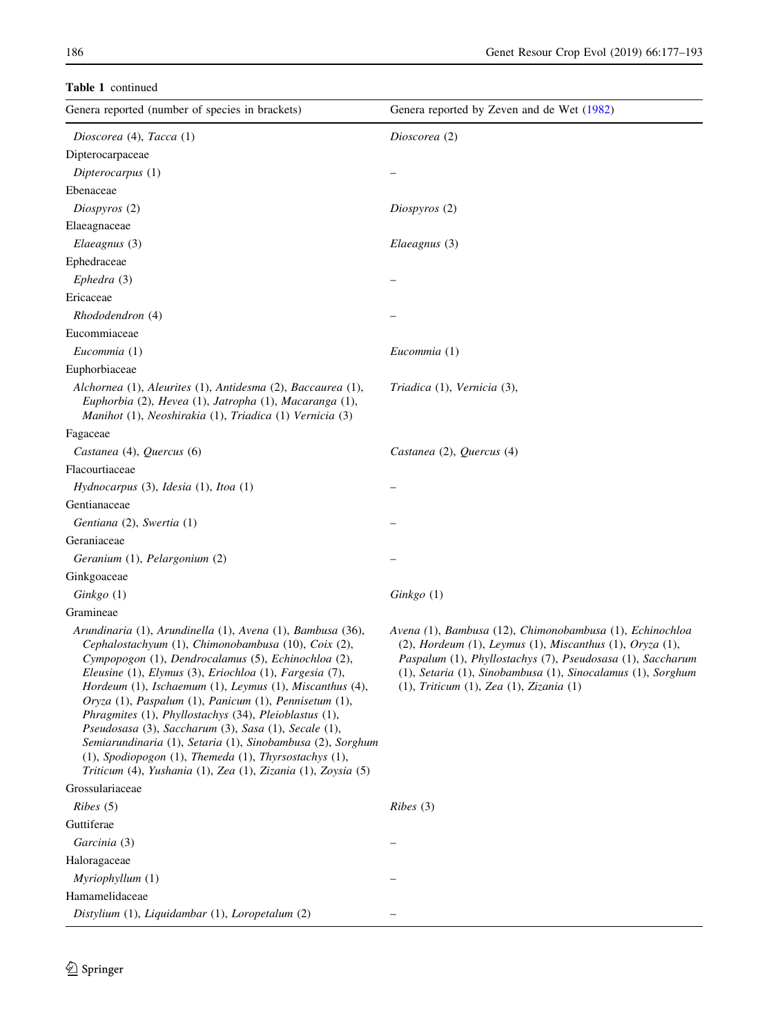| Genera reported (number of species in brackets)                                                                                                                                                                                                                                                                                                                                                                                                                                                                                                                                                                                                                            | Genera reported by Zeven and de Wet (1982)                                                                                                                                                                                                                                                                  |
|----------------------------------------------------------------------------------------------------------------------------------------------------------------------------------------------------------------------------------------------------------------------------------------------------------------------------------------------------------------------------------------------------------------------------------------------------------------------------------------------------------------------------------------------------------------------------------------------------------------------------------------------------------------------------|-------------------------------------------------------------------------------------------------------------------------------------------------------------------------------------------------------------------------------------------------------------------------------------------------------------|
| Dioscorea (4), Tacca (1)                                                                                                                                                                                                                                                                                                                                                                                                                                                                                                                                                                                                                                                   | Dioscorea (2)                                                                                                                                                                                                                                                                                               |
| Dipterocarpaceae                                                                                                                                                                                                                                                                                                                                                                                                                                                                                                                                                                                                                                                           |                                                                                                                                                                                                                                                                                                             |
| Dipterocarpus (1)                                                                                                                                                                                                                                                                                                                                                                                                                                                                                                                                                                                                                                                          |                                                                                                                                                                                                                                                                                                             |
| Ebenaceae                                                                                                                                                                                                                                                                                                                                                                                                                                                                                                                                                                                                                                                                  |                                                                                                                                                                                                                                                                                                             |
| Diospyros (2)                                                                                                                                                                                                                                                                                                                                                                                                                                                                                                                                                                                                                                                              | Diospyros (2)                                                                                                                                                                                                                                                                                               |
| Elaeagnaceae                                                                                                                                                                                                                                                                                                                                                                                                                                                                                                                                                                                                                                                               |                                                                                                                                                                                                                                                                                                             |
| Elaeagnus (3)                                                                                                                                                                                                                                                                                                                                                                                                                                                                                                                                                                                                                                                              | Elaeagnus (3)                                                                                                                                                                                                                                                                                               |
| Ephedraceae                                                                                                                                                                                                                                                                                                                                                                                                                                                                                                                                                                                                                                                                |                                                                                                                                                                                                                                                                                                             |
| Ephedra (3)                                                                                                                                                                                                                                                                                                                                                                                                                                                                                                                                                                                                                                                                |                                                                                                                                                                                                                                                                                                             |
| Ericaceae                                                                                                                                                                                                                                                                                                                                                                                                                                                                                                                                                                                                                                                                  |                                                                                                                                                                                                                                                                                                             |
| Rhododendron (4)                                                                                                                                                                                                                                                                                                                                                                                                                                                                                                                                                                                                                                                           |                                                                                                                                                                                                                                                                                                             |
| Eucommiaceae                                                                                                                                                                                                                                                                                                                                                                                                                                                                                                                                                                                                                                                               |                                                                                                                                                                                                                                                                                                             |
| Eucommia (1)                                                                                                                                                                                                                                                                                                                                                                                                                                                                                                                                                                                                                                                               | Eucommia (1)                                                                                                                                                                                                                                                                                                |
| Euphorbiaceae                                                                                                                                                                                                                                                                                                                                                                                                                                                                                                                                                                                                                                                              |                                                                                                                                                                                                                                                                                                             |
| Alchornea (1), Aleurites (1), Antidesma (2), Baccaurea (1),<br>Euphorbia (2), Hevea (1), Jatropha (1), Macaranga (1),<br>Manihot (1), Neoshirakia (1), Triadica (1) Vernicia (3)                                                                                                                                                                                                                                                                                                                                                                                                                                                                                           | Triadica (1), Vernicia (3),                                                                                                                                                                                                                                                                                 |
| Fagaceae                                                                                                                                                                                                                                                                                                                                                                                                                                                                                                                                                                                                                                                                   |                                                                                                                                                                                                                                                                                                             |
| Castanea (4), Quercus (6)                                                                                                                                                                                                                                                                                                                                                                                                                                                                                                                                                                                                                                                  | Castanea (2), Quercus (4)                                                                                                                                                                                                                                                                                   |
| Flacourtiaceae                                                                                                                                                                                                                                                                                                                                                                                                                                                                                                                                                                                                                                                             |                                                                                                                                                                                                                                                                                                             |
| Hydnocarpus $(3)$ , Idesia $(1)$ , Itoa $(1)$                                                                                                                                                                                                                                                                                                                                                                                                                                                                                                                                                                                                                              |                                                                                                                                                                                                                                                                                                             |
| Gentianaceae                                                                                                                                                                                                                                                                                                                                                                                                                                                                                                                                                                                                                                                               |                                                                                                                                                                                                                                                                                                             |
| Gentiana (2), Swertia (1)                                                                                                                                                                                                                                                                                                                                                                                                                                                                                                                                                                                                                                                  |                                                                                                                                                                                                                                                                                                             |
| Geraniaceae                                                                                                                                                                                                                                                                                                                                                                                                                                                                                                                                                                                                                                                                |                                                                                                                                                                                                                                                                                                             |
| Geranium (1), Pelargonium (2)                                                                                                                                                                                                                                                                                                                                                                                                                                                                                                                                                                                                                                              |                                                                                                                                                                                                                                                                                                             |
| Ginkgoaceae                                                                                                                                                                                                                                                                                                                                                                                                                                                                                                                                                                                                                                                                |                                                                                                                                                                                                                                                                                                             |
| Ginkgo(1)                                                                                                                                                                                                                                                                                                                                                                                                                                                                                                                                                                                                                                                                  | Ginkgo(1)                                                                                                                                                                                                                                                                                                   |
| Gramineae                                                                                                                                                                                                                                                                                                                                                                                                                                                                                                                                                                                                                                                                  |                                                                                                                                                                                                                                                                                                             |
| Arundinaria (1), Arundinella (1), Avena (1), Bambusa (36),<br>Cephalostachyum (1), Chimonobambusa (10), Coix (2),<br>Cympopogon (1), Dendrocalamus (5), Echinochloa (2),<br>Eleusine (1), Elymus (3), Eriochloa (1), Fargesia (7),<br>Hordeum (1), Ischaemum (1), Leymus (1), Miscanthus (4),<br>Oryza (1), Paspalum (1), Panicum (1), Pennisetum (1),<br>Phragmites (1), Phyllostachys (34), Pleioblastus (1),<br>Pseudosasa (3), Saccharum (3), Sasa (1), Secale (1),<br>Semiarundinaria (1), Setaria (1), Sinobambusa (2), Sorghum<br>$(1)$ , Spodiopogon $(1)$ , Themeda $(1)$ , Thyrsostachys $(1)$ ,<br>Triticum (4), Yushania (1), Zea (1), Zizania (1), Zoysia (5) | Avena (1), Bambusa (12), Chimonobambusa (1), Echinochloa<br>$(2)$ , Hordeum $(1)$ , Leymus $(1)$ , Miscanthus $(1)$ , Oryza $(1)$ ,<br>Paspalum (1), Phyllostachys (7), Pseudosasa (1), Saccharum<br>(1), Setaria (1), Sinobambusa (1), Sinocalamus (1), Sorghum<br>(1), Triticum (1), Zea (1), Zizania (1) |
| Grossulariaceae                                                                                                                                                                                                                                                                                                                                                                                                                                                                                                                                                                                                                                                            |                                                                                                                                                                                                                                                                                                             |
| Ribes(5)                                                                                                                                                                                                                                                                                                                                                                                                                                                                                                                                                                                                                                                                   | Ribes(3)                                                                                                                                                                                                                                                                                                    |
| Guttiferae                                                                                                                                                                                                                                                                                                                                                                                                                                                                                                                                                                                                                                                                 |                                                                                                                                                                                                                                                                                                             |
| Garcinia (3)                                                                                                                                                                                                                                                                                                                                                                                                                                                                                                                                                                                                                                                               |                                                                                                                                                                                                                                                                                                             |
| Haloragaceae                                                                                                                                                                                                                                                                                                                                                                                                                                                                                                                                                                                                                                                               |                                                                                                                                                                                                                                                                                                             |
| Myriophyllum (1)                                                                                                                                                                                                                                                                                                                                                                                                                                                                                                                                                                                                                                                           |                                                                                                                                                                                                                                                                                                             |
| Hamamelidaceae                                                                                                                                                                                                                                                                                                                                                                                                                                                                                                                                                                                                                                                             |                                                                                                                                                                                                                                                                                                             |
| Distylium (1), Liquidambar (1), Loropetalum (2)                                                                                                                                                                                                                                                                                                                                                                                                                                                                                                                                                                                                                            |                                                                                                                                                                                                                                                                                                             |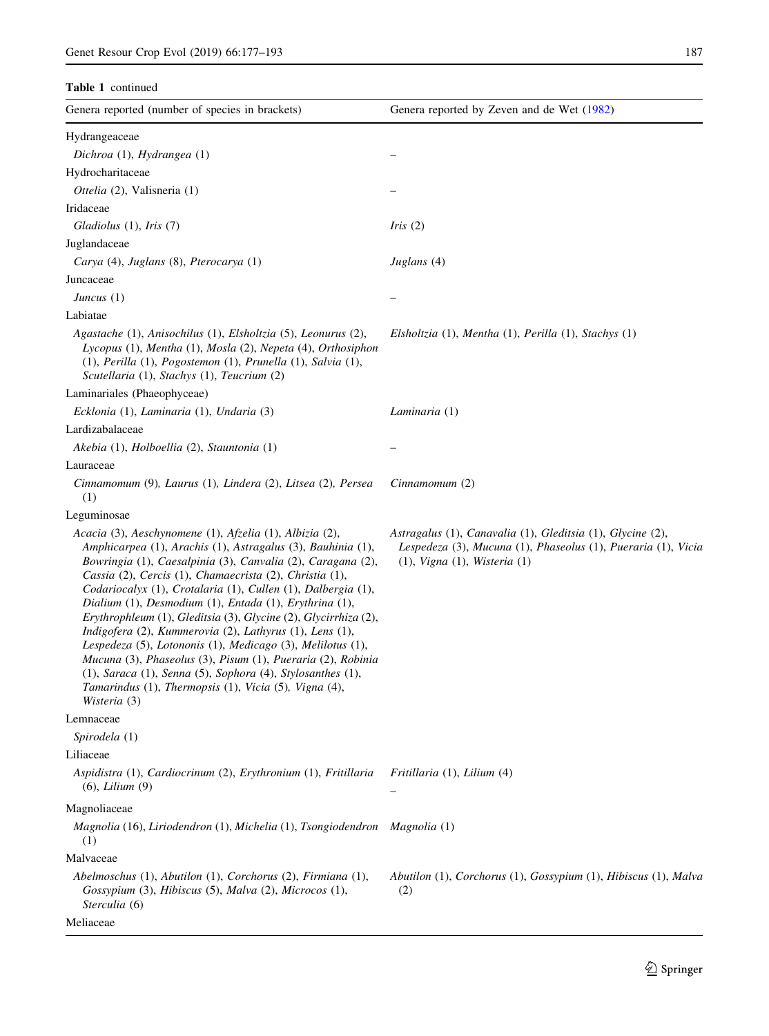| Genera reported (number of species in brackets)                                                                                                                                                                                                                                                                                                                                                                                                                                                                                                                                                                                                                                                                                                                                             | Genera reported by Zeven and de Wet (1982)                                                                                                                          |
|---------------------------------------------------------------------------------------------------------------------------------------------------------------------------------------------------------------------------------------------------------------------------------------------------------------------------------------------------------------------------------------------------------------------------------------------------------------------------------------------------------------------------------------------------------------------------------------------------------------------------------------------------------------------------------------------------------------------------------------------------------------------------------------------|---------------------------------------------------------------------------------------------------------------------------------------------------------------------|
| Hydrangeaceae                                                                                                                                                                                                                                                                                                                                                                                                                                                                                                                                                                                                                                                                                                                                                                               |                                                                                                                                                                     |
| Dichroa (1), Hydrangea (1)                                                                                                                                                                                                                                                                                                                                                                                                                                                                                                                                                                                                                                                                                                                                                                  |                                                                                                                                                                     |
| Hydrocharitaceae                                                                                                                                                                                                                                                                                                                                                                                                                                                                                                                                                                                                                                                                                                                                                                            |                                                                                                                                                                     |
| Ottelia (2), Valisneria (1)                                                                                                                                                                                                                                                                                                                                                                                                                                                                                                                                                                                                                                                                                                                                                                 |                                                                                                                                                                     |
| Iridaceae                                                                                                                                                                                                                                                                                                                                                                                                                                                                                                                                                                                                                                                                                                                                                                                   |                                                                                                                                                                     |
| Gladiolus $(1)$ , Iris $(7)$                                                                                                                                                                                                                                                                                                                                                                                                                                                                                                                                                                                                                                                                                                                                                                | <i>Iris</i> $(2)$                                                                                                                                                   |
| Juglandaceae                                                                                                                                                                                                                                                                                                                                                                                                                                                                                                                                                                                                                                                                                                                                                                                |                                                                                                                                                                     |
| Carya (4), Juglans (8), Pterocarya (1)                                                                                                                                                                                                                                                                                                                                                                                                                                                                                                                                                                                                                                                                                                                                                      | Juglans $(4)$                                                                                                                                                       |
| Juncaceae                                                                                                                                                                                                                                                                                                                                                                                                                                                                                                                                                                                                                                                                                                                                                                                   |                                                                                                                                                                     |
| Juncus $(1)$                                                                                                                                                                                                                                                                                                                                                                                                                                                                                                                                                                                                                                                                                                                                                                                |                                                                                                                                                                     |
| Labiatae                                                                                                                                                                                                                                                                                                                                                                                                                                                                                                                                                                                                                                                                                                                                                                                    |                                                                                                                                                                     |
| Agastache (1), Anisochilus (1), Elsholtzia (5), Leonurus (2),<br>Lycopus (1), Mentha (1), Mosla (2), Nepeta (4), Orthosiphon<br>$(1)$ , Perilla $(1)$ , Pogostemon $(1)$ , Prunella $(1)$ , Salvia $(1)$ ,<br>Scutellaria (1), Stachys (1), Teucrium (2)                                                                                                                                                                                                                                                                                                                                                                                                                                                                                                                                    | Elsholtzia (1), Mentha (1), Perilla (1), Stachys (1)                                                                                                                |
| Laminariales (Phaeophyceae)                                                                                                                                                                                                                                                                                                                                                                                                                                                                                                                                                                                                                                                                                                                                                                 |                                                                                                                                                                     |
| Ecklonia (1), Laminaria (1), Undaria (3)                                                                                                                                                                                                                                                                                                                                                                                                                                                                                                                                                                                                                                                                                                                                                    | Laminaria (1)                                                                                                                                                       |
| Lardizabalaceae                                                                                                                                                                                                                                                                                                                                                                                                                                                                                                                                                                                                                                                                                                                                                                             |                                                                                                                                                                     |
| Akebia (1), Holboellia (2), Stauntonia (1)                                                                                                                                                                                                                                                                                                                                                                                                                                                                                                                                                                                                                                                                                                                                                  |                                                                                                                                                                     |
| Lauraceae<br>Cinnamomum (9), Laurus (1), Lindera (2), Litsea (2), Persea<br>(1)                                                                                                                                                                                                                                                                                                                                                                                                                                                                                                                                                                                                                                                                                                             | Cinnamomum (2)                                                                                                                                                      |
| Leguminosae                                                                                                                                                                                                                                                                                                                                                                                                                                                                                                                                                                                                                                                                                                                                                                                 |                                                                                                                                                                     |
| Acacia (3), Aeschynomene (1), Afzelia (1), Albizia (2),<br>Amphicarpea (1), Arachis (1), Astragalus (3), Bauhinia (1),<br>Bowringia (1), Caesalpinia (3), Canvalia (2), Caragana (2),<br>Cassia (2), Cercis (1), Chamaecrista (2), Christia (1),<br>Codariocalyx (1), Crotalaria (1), Cullen (1), Dalbergia (1),<br>Dialium (1), Desmodium (1), Entada (1), Erythrina (1),<br>Erythrophleum (1), Gleditsia (3), Glycine (2), Glycirrhiza (2),<br>Indigofera (2), Kummerovia (2), Lathyrus (1), Lens (1),<br>Lespedeza (5), Lotononis (1), Medicago (3), Melilotus (1),<br>Mucuna (3), Phaseolus (3), Pisum (1), Pueraria (2), Robinia<br>$(1)$ , Saraca $(1)$ , Senna $(5)$ , Sophora $(4)$ , Stylosanthes $(1)$ ,<br>Tamarindus (1), Thermopsis (1), Vicia (5), Vigna (4),<br>Wisteria (3) | Astragalus (1), Canavalia (1), Gleditsia (1), Glycine (2),<br>Lespedeza (3), Mucuna (1), Phaseolus (1), Pueraria (1), Vicia<br>$(1)$ , Vigna $(1)$ , Wisteria $(1)$ |
| Lemnaceae                                                                                                                                                                                                                                                                                                                                                                                                                                                                                                                                                                                                                                                                                                                                                                                   |                                                                                                                                                                     |
| Spirodela (1)                                                                                                                                                                                                                                                                                                                                                                                                                                                                                                                                                                                                                                                                                                                                                                               |                                                                                                                                                                     |
| Liliaceae                                                                                                                                                                                                                                                                                                                                                                                                                                                                                                                                                                                                                                                                                                                                                                                   |                                                                                                                                                                     |
| Aspidistra (1), Cardiocrinum (2), Erythronium (1), Fritillaria<br>$(6)$ , Lilium $(9)$                                                                                                                                                                                                                                                                                                                                                                                                                                                                                                                                                                                                                                                                                                      | Fritillaria (1), Lilium (4)                                                                                                                                         |
| Magnoliaceae                                                                                                                                                                                                                                                                                                                                                                                                                                                                                                                                                                                                                                                                                                                                                                                |                                                                                                                                                                     |
| Magnolia (16), Liriodendron (1), Michelia (1), Tsongiodendron<br>(1)                                                                                                                                                                                                                                                                                                                                                                                                                                                                                                                                                                                                                                                                                                                        | <i>Magnolia</i> (1)                                                                                                                                                 |
| Malvaceae                                                                                                                                                                                                                                                                                                                                                                                                                                                                                                                                                                                                                                                                                                                                                                                   |                                                                                                                                                                     |
| Abelmoschus (1), Abutilon (1), Corchorus (2), Firmiana (1),<br>Gossypium (3), Hibiscus (5), Malva (2), Microcos (1),<br>Sterculia (6)                                                                                                                                                                                                                                                                                                                                                                                                                                                                                                                                                                                                                                                       | Abutilon (1), Corchorus (1), Gossypium (1), Hibiscus (1), Malva<br>(2)                                                                                              |
| Meliaceae                                                                                                                                                                                                                                                                                                                                                                                                                                                                                                                                                                                                                                                                                                                                                                                   |                                                                                                                                                                     |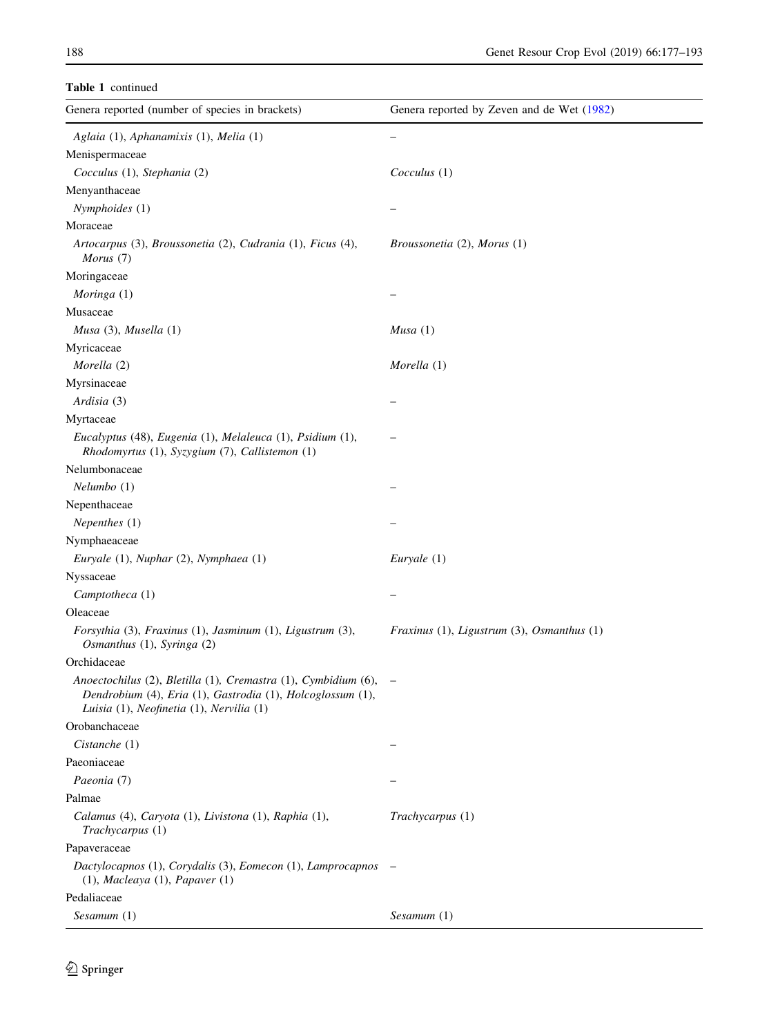| Genera reported (number of species in brackets)                                                                                                                          | Genera reported by Zeven and de Wet (1982) |
|--------------------------------------------------------------------------------------------------------------------------------------------------------------------------|--------------------------------------------|
| Aglaia (1), Aphanamixis (1), Melia (1)                                                                                                                                   | -                                          |
| Menispermaceae                                                                                                                                                           |                                            |
| Cocculus (1), Stephania (2)                                                                                                                                              | Cocculus (1)                               |
| Menyanthaceae                                                                                                                                                            |                                            |
| Nymphoides (1)                                                                                                                                                           |                                            |
| Moraceae                                                                                                                                                                 |                                            |
| Artocarpus (3), Broussonetia (2), Cudrania (1), Ficus (4),<br>Morus (7)                                                                                                  | Broussonetia (2), Morus (1)                |
| Moringaceae                                                                                                                                                              |                                            |
| Moringa (1)                                                                                                                                                              |                                            |
| Musaceae                                                                                                                                                                 |                                            |
| Musa (3), Musella (1)                                                                                                                                                    | Musa(1)                                    |
| Myricaceae                                                                                                                                                               |                                            |
| Morella (2)                                                                                                                                                              | Morella (1)                                |
| Myrsinaceae                                                                                                                                                              |                                            |
| Ardisia (3)                                                                                                                                                              |                                            |
| Myrtaceae                                                                                                                                                                |                                            |
| Eucalyptus (48), Eugenia (1), Melaleuca (1), Psidium (1),<br>Rhodomyrtus (1), Syzygium (7), Callistemon (1)                                                              |                                            |
| Nelumbonaceae                                                                                                                                                            |                                            |
| Nelumbo(1)                                                                                                                                                               |                                            |
| Nepenthaceae                                                                                                                                                             |                                            |
| Nepenthes(1)                                                                                                                                                             |                                            |
| Nymphaeaceae                                                                                                                                                             |                                            |
| Euryale (1), Nuphar (2), Nymphaea (1)                                                                                                                                    | Euryale (1)                                |
| Nyssaceae                                                                                                                                                                |                                            |
| Camptotheca (1)                                                                                                                                                          |                                            |
| Oleaceae                                                                                                                                                                 |                                            |
| Forsythia (3), Fraxinus (1), Jasminum (1), Ligustrum (3),<br>Osmanthus (1), Syringa (2)                                                                                  | Fraxinus (1), Ligustrum (3), Osmanthus (1) |
| Orchidaceae                                                                                                                                                              |                                            |
| Anoectochilus (2), Bletilla (1), Cremastra (1), Cymbidium (6),<br>Dendrobium (4), Eria (1), Gastrodia (1), Holcoglossum (1),<br>Luisia (1), Neofinetia (1), Nervilia (1) | $\qquad \qquad -$                          |
| Orobanchaceae                                                                                                                                                            |                                            |
| Cistance(1)                                                                                                                                                              |                                            |
| Paeoniaceae                                                                                                                                                              |                                            |
| Paeonia (7)                                                                                                                                                              |                                            |
| Palmae                                                                                                                                                                   |                                            |
| Calamus (4), Caryota (1), Livistona (1), Raphia (1),<br>Trachycarpus (1)                                                                                                 | Trachycarpus (1)                           |
| Papaveraceae                                                                                                                                                             |                                            |
| Dactylocapnos (1), Corydalis (3), Eomecon (1), Lamprocapnos -<br>$(1)$ , Macleaya $(1)$ , Papaver $(1)$                                                                  |                                            |
| Pedaliaceae                                                                                                                                                              |                                            |
| Sesamum(1)                                                                                                                                                               | Sesamum(1)                                 |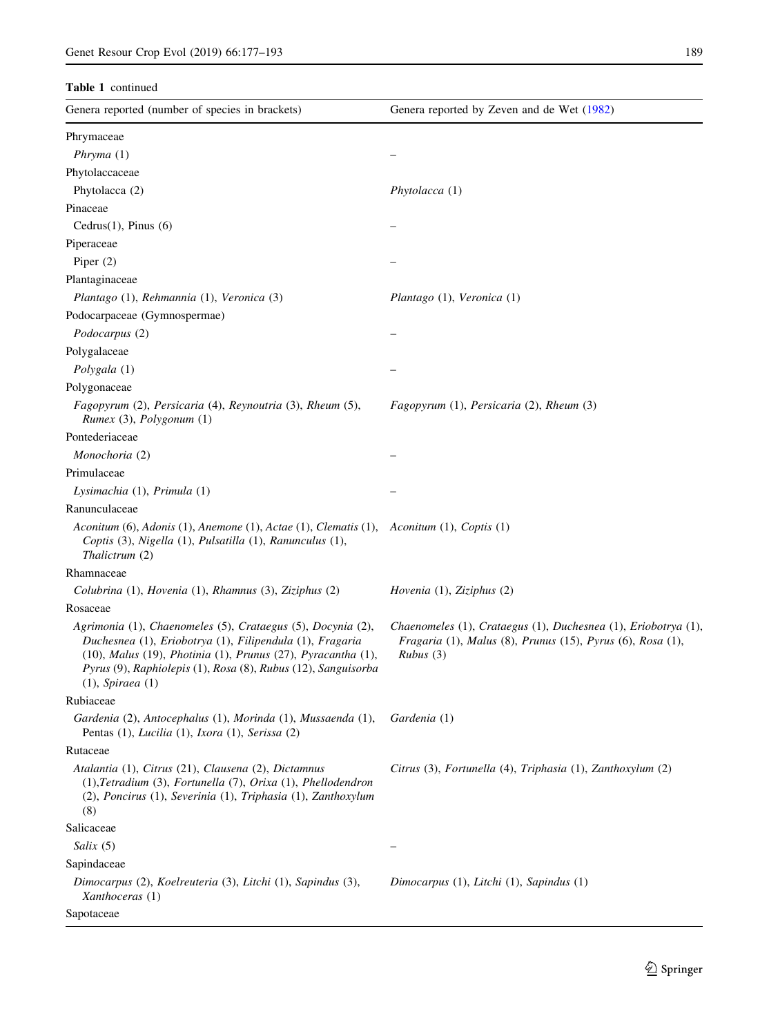## Table 1 continued

| Genera reported (number of species in brackets)                                                                                                                                                                                                                                   | Genera reported by Zeven and de Wet (1982)                                                                                                  |
|-----------------------------------------------------------------------------------------------------------------------------------------------------------------------------------------------------------------------------------------------------------------------------------|---------------------------------------------------------------------------------------------------------------------------------------------|
| Phrymaceae                                                                                                                                                                                                                                                                        |                                                                                                                                             |
| Phryma $(1)$                                                                                                                                                                                                                                                                      |                                                                                                                                             |
| Phytolaccaceae                                                                                                                                                                                                                                                                    |                                                                                                                                             |
| Phytolacca (2)                                                                                                                                                                                                                                                                    | Phytolacca (1)                                                                                                                              |
| Pinaceae                                                                                                                                                                                                                                                                          |                                                                                                                                             |
| Cedrus $(1)$ , Pinus $(6)$                                                                                                                                                                                                                                                        |                                                                                                                                             |
| Piperaceae                                                                                                                                                                                                                                                                        |                                                                                                                                             |
| Piper $(2)$                                                                                                                                                                                                                                                                       |                                                                                                                                             |
| Plantaginaceae                                                                                                                                                                                                                                                                    |                                                                                                                                             |
| Plantago (1), Rehmannia (1), Veronica (3)                                                                                                                                                                                                                                         | Plantago (1), Veronica (1)                                                                                                                  |
| Podocarpaceae (Gymnospermae)                                                                                                                                                                                                                                                      |                                                                                                                                             |
| Podocarpus (2)                                                                                                                                                                                                                                                                    |                                                                                                                                             |
| Polygalaceae                                                                                                                                                                                                                                                                      |                                                                                                                                             |
| Polygala (1)                                                                                                                                                                                                                                                                      |                                                                                                                                             |
| Polygonaceae                                                                                                                                                                                                                                                                      |                                                                                                                                             |
| Fagopyrum (2), Persicaria (4), Reynoutria (3), Rheum (5),<br>Rumex (3), Polygonum (1)                                                                                                                                                                                             | Fagopyrum (1), Persicaria (2), Rheum (3)                                                                                                    |
| Pontederiaceae                                                                                                                                                                                                                                                                    |                                                                                                                                             |
| Monochoria (2)                                                                                                                                                                                                                                                                    |                                                                                                                                             |
| Primulaceae                                                                                                                                                                                                                                                                       |                                                                                                                                             |
| Lysimachia (1), Primula (1)                                                                                                                                                                                                                                                       |                                                                                                                                             |
| Ranunculaceae                                                                                                                                                                                                                                                                     |                                                                                                                                             |
| Aconitum (6), Adonis (1), Anemone (1), Actae (1), Clematis (1), Aconitum (1), Coptis (1)<br>Coptis (3), Nigella (1), Pulsatilla (1), Ranunculus (1),<br>Thalictrum (2)                                                                                                            |                                                                                                                                             |
| Rhamnaceae                                                                                                                                                                                                                                                                        |                                                                                                                                             |
| Colubrina (1), Hovenia (1), Rhamnus (3), Ziziphus (2)                                                                                                                                                                                                                             | Hovenia (1), Ziziphus (2)                                                                                                                   |
| Rosaceae                                                                                                                                                                                                                                                                          |                                                                                                                                             |
| Agrimonia (1), Chaenomeles (5), Crataegus (5), Docynia (2),<br>Duchesnea (1), Eriobotrya (1), Filipendula (1), Fragaria<br>(10), Malus (19), Photinia (1), Prunus (27), Pyracantha (1),<br>Pyrus (9), Raphiolepis (1), Rosa (8), Rubus (12), Sanguisorba<br>$(1)$ , Spiraea $(1)$ | Chaenomeles (1), Crataegus (1), Duchesnea (1), Eriobotrya (1),<br>Fragaria (1), Malus (8), Prunus (15), Pyrus (6), Rosa (1),<br>$Rules (3)$ |
| Rubiaceae                                                                                                                                                                                                                                                                         |                                                                                                                                             |
| Gardenia (2), Antocephalus (1), Morinda (1), Mussaenda (1),<br>Pentas (1), Lucilia (1), Ixora (1), Serissa (2)                                                                                                                                                                    | Gardenia (1)                                                                                                                                |
| Rutaceae                                                                                                                                                                                                                                                                          |                                                                                                                                             |
| Atalantia (1), Citrus (21), Clausena (2), Dictamnus<br>$(1)$ , Tetradium $(3)$ , Fortunella $(7)$ , Orixa $(1)$ , Phellodendron<br>(2), Poncirus (1), Severinia (1), Triphasia (1), Zanthoxylum<br>(8)                                                                            | Citrus (3), Fortunella (4), Triphasia (1), Zanthoxylum (2)                                                                                  |
| Salicaceae                                                                                                                                                                                                                                                                        |                                                                                                                                             |
| Salix $(5)$                                                                                                                                                                                                                                                                       |                                                                                                                                             |
| Sapindaceae                                                                                                                                                                                                                                                                       |                                                                                                                                             |
| Dimocarpus (2), Koelreuteria (3), Litchi (1), Sapindus (3),<br>Xanthoceras (1)                                                                                                                                                                                                    | Dimocarpus (1), Litchi (1), Sapindus (1)                                                                                                    |
| Sapotaceae                                                                                                                                                                                                                                                                        |                                                                                                                                             |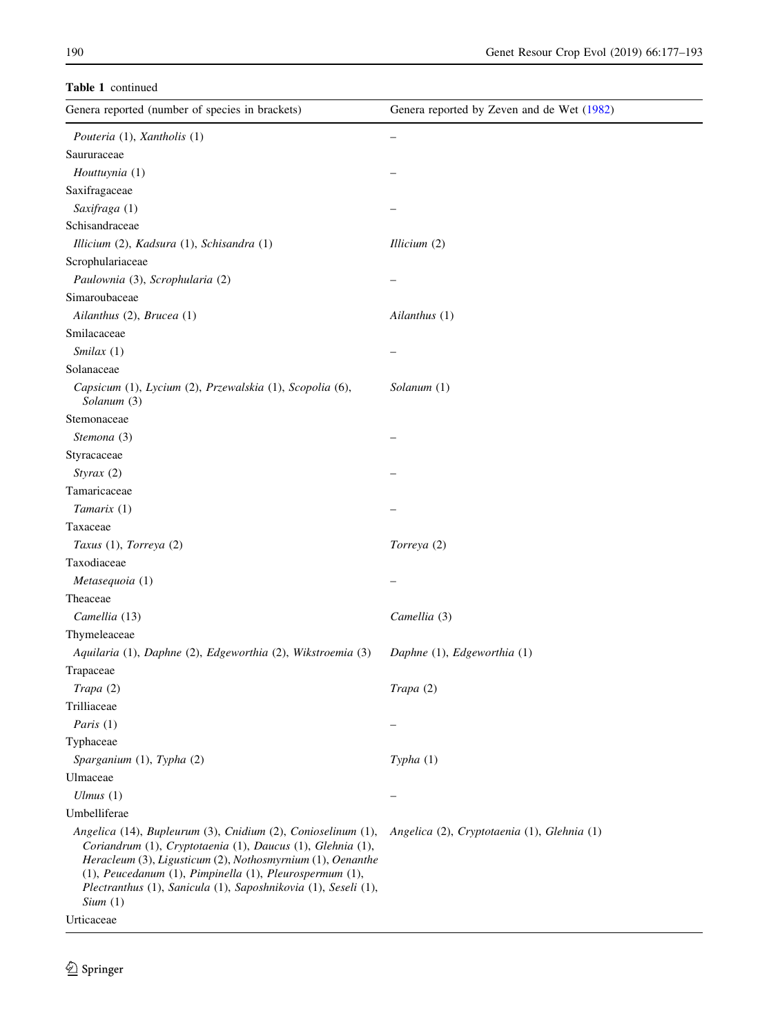| Genera reported (number of species in brackets)                                                                                                                                                                                                                                                                                  | Genera reported by Zeven and de Wet (1982)  |
|----------------------------------------------------------------------------------------------------------------------------------------------------------------------------------------------------------------------------------------------------------------------------------------------------------------------------------|---------------------------------------------|
| Pouteria (1), Xantholis (1)                                                                                                                                                                                                                                                                                                      | $\qquad \qquad -$                           |
| Saururaceae                                                                                                                                                                                                                                                                                                                      |                                             |
| Houttuynia (1)                                                                                                                                                                                                                                                                                                                   |                                             |
| Saxifragaceae                                                                                                                                                                                                                                                                                                                    |                                             |
| Saxifraga (1)                                                                                                                                                                                                                                                                                                                    |                                             |
| Schisandraceae                                                                                                                                                                                                                                                                                                                   |                                             |
| Illicium (2), Kadsura (1), Schisandra (1)                                                                                                                                                                                                                                                                                        | Hlicium(2)                                  |
| Scrophulariaceae                                                                                                                                                                                                                                                                                                                 |                                             |
| Paulownia (3), Scrophularia (2)                                                                                                                                                                                                                                                                                                  |                                             |
| Simaroubaceae                                                                                                                                                                                                                                                                                                                    |                                             |
| Ailanthus (2), Brucea (1)                                                                                                                                                                                                                                                                                                        | Ailanthus (1)                               |
| Smilacaceae                                                                                                                                                                                                                                                                                                                      |                                             |
| Smilax(1)                                                                                                                                                                                                                                                                                                                        |                                             |
| Solanaceae                                                                                                                                                                                                                                                                                                                       |                                             |
| Capsicum (1), Lycium (2), Przewalskia (1), Scopolia (6),<br>Solanum (3)                                                                                                                                                                                                                                                          | Solanum (1)                                 |
| Stemonaceae                                                                                                                                                                                                                                                                                                                      |                                             |
| Stemona (3)                                                                                                                                                                                                                                                                                                                      |                                             |
| Styracaceae                                                                                                                                                                                                                                                                                                                      |                                             |
| Styrax (2)                                                                                                                                                                                                                                                                                                                       |                                             |
| Tamaricaceae                                                                                                                                                                                                                                                                                                                     |                                             |
| Tamarix (1)                                                                                                                                                                                                                                                                                                                      |                                             |
| Taxaceae                                                                                                                                                                                                                                                                                                                         |                                             |
| Taxus (1), Torreya (2)                                                                                                                                                                                                                                                                                                           | Torreya (2)                                 |
| Taxodiaceae                                                                                                                                                                                                                                                                                                                      |                                             |
| Metasequoia (1)                                                                                                                                                                                                                                                                                                                  |                                             |
| Theaceae                                                                                                                                                                                                                                                                                                                         |                                             |
| Camellia (13)                                                                                                                                                                                                                                                                                                                    | Camellia (3)                                |
| Thymeleaceae                                                                                                                                                                                                                                                                                                                     |                                             |
| Aquilaria (1), Daphne (2), Edgeworthia (2), Wikstroemia (3)                                                                                                                                                                                                                                                                      | Daphne (1), Edgeworthia (1)                 |
| Trapaceae                                                                                                                                                                                                                                                                                                                        |                                             |
| Trapa (2)                                                                                                                                                                                                                                                                                                                        | Trapa (2)                                   |
| Trilliaceae                                                                                                                                                                                                                                                                                                                      |                                             |
| Paris $(1)$                                                                                                                                                                                                                                                                                                                      |                                             |
| Typhaceae                                                                                                                                                                                                                                                                                                                        |                                             |
| Sparganium (1), Typha (2)                                                                                                                                                                                                                                                                                                        | Typha $(1)$                                 |
| Ulmaceae                                                                                                                                                                                                                                                                                                                         |                                             |
| Ulmus(1)                                                                                                                                                                                                                                                                                                                         | -                                           |
| Umbelliferae                                                                                                                                                                                                                                                                                                                     |                                             |
| Angelica (14), Bupleurum (3), Cnidium (2), Conioselinum (1),<br>Coriandrum (1), Cryptotaenia (1), Daucus (1), Glehnia (1),<br>Heracleum (3), Ligusticum (2), Nothosmyrnium (1), Oenanthe<br>(1), Peucedanum (1), Pimpinella (1), Pleurospermum (1),<br>Plectranthus (1), Sanicula (1), Saposhnikovia (1), Seseli (1),<br>Sium(1) | Angelica (2), Cryptotaenia (1), Glehnia (1) |
| Urticaceae                                                                                                                                                                                                                                                                                                                       |                                             |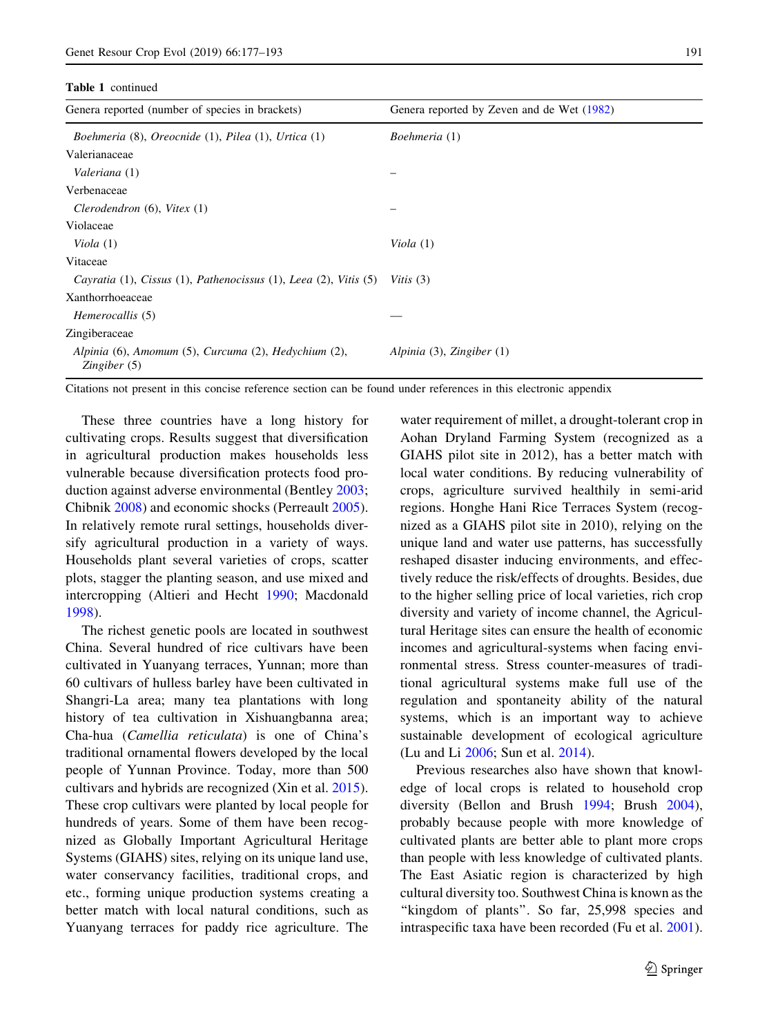| Genera reported (number of species in brackets)                                | Genera reported by Zeven and de Wet (1982) |
|--------------------------------------------------------------------------------|--------------------------------------------|
| Boehmeria (8), Oreocnide (1), Pilea (1), Urtica (1)                            | Boehmeria (1)                              |
| Valerianaceae                                                                  |                                            |
| Valeriana (1)                                                                  |                                            |
| Verbenaceae                                                                    |                                            |
| Clerodendron $(6)$ , Vitex $(1)$                                               |                                            |
| Violaceae                                                                      |                                            |
| Viola $(1)$                                                                    | Viola $(1)$                                |
| Vitaceae                                                                       |                                            |
| Cayratia $(1)$ , Cissus $(1)$ , Pathenocissus $(1)$ , Leea $(2)$ , Vitis $(5)$ | Vitis $(3)$                                |
| Xanthorrhoeaceae                                                               |                                            |
| Hemerocallis (5)                                                               |                                            |
| Zingiberaceae                                                                  |                                            |
| Alpinia (6), Amomum (5), Curcuma (2), Hedychium (2),<br>Zingiber(5)            | Alpinia $(3)$ , Zingiber $(1)$             |

Citations not present in this concise reference section can be found under references in this electronic appendix

These three countries have a long history for cultivating crops. Results suggest that diversification in agricultural production makes households less vulnerable because diversification protects food production against adverse environmental (Bentley [2003](#page-15-0); Chibnik [2008](#page-15-0)) and economic shocks (Perreault [2005](#page-16-0)). In relatively remote rural settings, households diversify agricultural production in a variety of ways. Households plant several varieties of crops, scatter plots, stagger the planting season, and use mixed and intercropping (Altieri and Hecht [1990](#page-15-0); Macdonald [1998\)](#page-16-0).

The richest genetic pools are located in southwest China. Several hundred of rice cultivars have been cultivated in Yuanyang terraces, Yunnan; more than 60 cultivars of hulless barley have been cultivated in Shangri-La area; many tea plantations with long history of tea cultivation in Xishuangbanna area; Cha-hua (Camellia reticulata) is one of China's traditional ornamental flowers developed by the local people of Yunnan Province. Today, more than 500 cultivars and hybrids are recognized (Xin et al. [2015](#page-16-0)). These crop cultivars were planted by local people for hundreds of years. Some of them have been recognized as Globally Important Agricultural Heritage Systems (GIAHS) sites, relying on its unique land use, water conservancy facilities, traditional crops, and etc., forming unique production systems creating a better match with local natural conditions, such as Yuanyang terraces for paddy rice agriculture. The water requirement of millet, a drought-tolerant crop in Aohan Dryland Farming System (recognized as a GIAHS pilot site in 2012), has a better match with local water conditions. By reducing vulnerability of crops, agriculture survived healthily in semi-arid regions. Honghe Hani Rice Terraces System (recognized as a GIAHS pilot site in 2010), relying on the unique land and water use patterns, has successfully reshaped disaster inducing environments, and effectively reduce the risk/effects of droughts. Besides, due to the higher selling price of local varieties, rich crop diversity and variety of income channel, the Agricultural Heritage sites can ensure the health of economic incomes and agricultural-systems when facing environmental stress. Stress counter-measures of traditional agricultural systems make full use of the regulation and spontaneity ability of the natural systems, which is an important way to achieve sustainable development of ecological agriculture (Lu and Li [2006](#page-16-0); Sun et al. [2014\)](#page-16-0).

Previous researches also have shown that knowledge of local crops is related to household crop diversity (Bellon and Brush [1994;](#page-15-0) Brush [2004](#page-15-0)), probably because people with more knowledge of cultivated plants are better able to plant more crops than people with less knowledge of cultivated plants. The East Asiatic region is characterized by high cultural diversity too. Southwest China is known as the "kingdom of plants". So far, 25,998 species and intraspecific taxa have been recorded (Fu et al. [2001](#page-16-0)).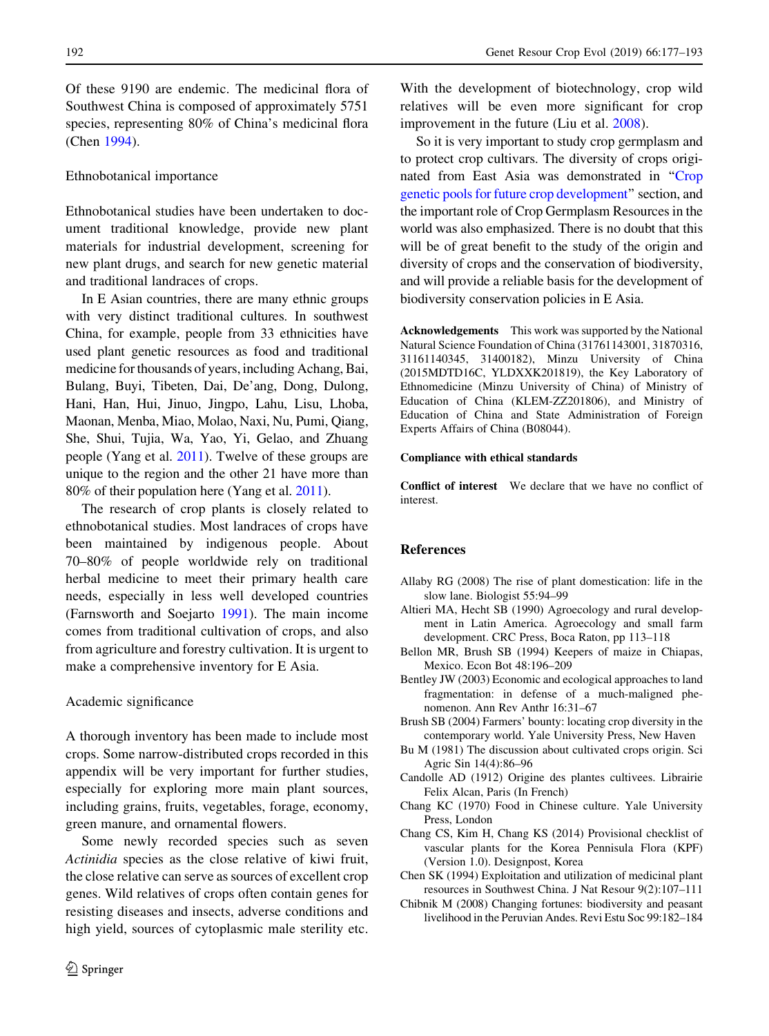<span id="page-15-0"></span>Of these 9190 are endemic. The medicinal flora of Southwest China is composed of approximately 5751 species, representing 80% of China's medicinal flora (Chen 1994).

#### Ethnobotanical importance

Ethnobotanical studies have been undertaken to document traditional knowledge, provide new plant materials for industrial development, screening for new plant drugs, and search for new genetic material and traditional landraces of crops.

In E Asian countries, there are many ethnic groups with very distinct traditional cultures. In southwest China, for example, people from 33 ethnicities have used plant genetic resources as food and traditional medicine for thousands of years, including Achang, Bai, Bulang, Buyi, Tibeten, Dai, De'ang, Dong, Dulong, Hani, Han, Hui, Jinuo, Jingpo, Lahu, Lisu, Lhoba, Maonan, Menba, Miao, Molao, Naxi, Nu, Pumi, Qiang, She, Shui, Tujia, Wa, Yao, Yi, Gelao, and Zhuang people (Yang et al. [2011](#page-16-0)). Twelve of these groups are unique to the region and the other 21 have more than 80% of their population here (Yang et al. [2011](#page-16-0)).

The research of crop plants is closely related to ethnobotanical studies. Most landraces of crops have been maintained by indigenous people. About 70–80% of people worldwide rely on traditional herbal medicine to meet their primary health care needs, especially in less well developed countries (Farnsworth and Soejarto [1991](#page-16-0)). The main income comes from traditional cultivation of crops, and also from agriculture and forestry cultivation. It is urgent to make a comprehensive inventory for E Asia.

#### Academic significance

A thorough inventory has been made to include most crops. Some narrow-distributed crops recorded in this appendix will be very important for further studies, especially for exploring more main plant sources, including grains, fruits, vegetables, forage, economy, green manure, and ornamental flowers.

Some newly recorded species such as seven Actinidia species as the close relative of kiwi fruit, the close relative can serve as sources of excellent crop genes. Wild relatives of crops often contain genes for resisting diseases and insects, adverse conditions and high yield, sources of cytoplasmic male sterility etc.

With the development of biotechnology, crop wild relatives will be even more significant for crop improvement in the future (Liu et al. [2008](#page-16-0)).

So it is very important to study crop germplasm and to protect crop cultivars. The diversity of crops origi-nated from East Asia was demonstrated in "[Crop](#page-4-0) [genetic pools for future crop development'](#page-4-0)' section, and the important role of Crop Germplasm Resources in the world was also emphasized. There is no doubt that this will be of great benefit to the study of the origin and diversity of crops and the conservation of biodiversity, and will provide a reliable basis for the development of biodiversity conservation policies in E Asia.

Acknowledgements This work was supported by the National Natural Science Foundation of China (31761143001, 31870316, 31161140345, 31400182), Minzu University of China (2015MDTD16C, YLDXXK201819), the Key Laboratory of Ethnomedicine (Minzu University of China) of Ministry of Education of China (KLEM-ZZ201806), and Ministry of Education of China and State Administration of Foreign Experts Affairs of China (B08044).

#### Compliance with ethical standards

Conflict of interest We declare that we have no conflict of interest.

## References

- Allaby RG (2008) The rise of plant domestication: life in the slow lane. Biologist 55:94–99
- Altieri MA, Hecht SB (1990) Agroecology and rural development in Latin America. Agroecology and small farm development. CRC Press, Boca Raton, pp 113–118
- Bellon MR, Brush SB (1994) Keepers of maize in Chiapas, Mexico. Econ Bot 48:196–209
- Bentley JW (2003) Economic and ecological approaches to land fragmentation: in defense of a much-maligned phenomenon. Ann Rev Anthr 16:31–67
- Brush SB (2004) Farmers' bounty: locating crop diversity in the contemporary world. Yale University Press, New Haven
- Bu M (1981) The discussion about cultivated crops origin. Sci Agric Sin 14(4):86–96
- Candolle AD (1912) Origine des plantes cultivees. Librairie Felix Alcan, Paris (In French)
- Chang KC (1970) Food in Chinese culture. Yale University Press, London
- Chang CS, Kim H, Chang KS (2014) Provisional checklist of vascular plants for the Korea Pennisula Flora (KPF) (Version 1.0). Designpost, Korea
- Chen SK (1994) Exploitation and utilization of medicinal plant resources in Southwest China. J Nat Resour 9(2):107–111
- Chibnik M (2008) Changing fortunes: biodiversity and peasant livelihood in the Peruvian Andes. Revi Estu Soc 99:182–184